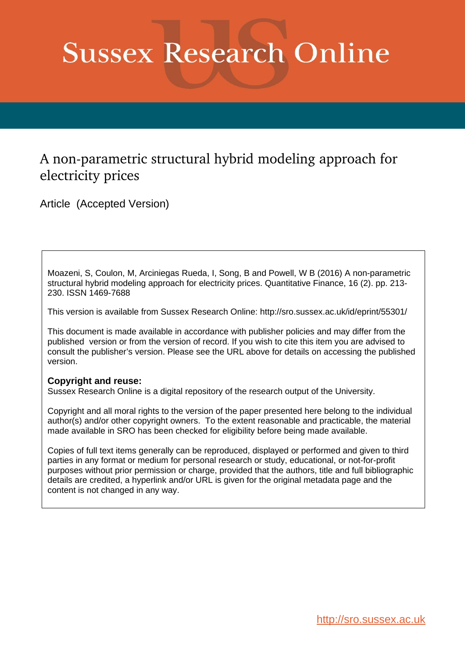# **Sussex Research Online**

# A non-parametric structural hybrid modeling approach for electricity prices

Article (Accepted Version)

Moazeni, S, Coulon, M, Arciniegas Rueda, I, Song, B and Powell, W B (2016) A non-parametric structural hybrid modeling approach for electricity prices. Quantitative Finance, 16 (2). pp. 213- 230. ISSN 1469-7688

This version is available from Sussex Research Online: http://sro.sussex.ac.uk/id/eprint/55301/

This document is made available in accordance with publisher policies and may differ from the published version or from the version of record. If you wish to cite this item you are advised to consult the publisher's version. Please see the URL above for details on accessing the published version.

# **Copyright and reuse:**

Sussex Research Online is a digital repository of the research output of the University.

Copyright and all moral rights to the version of the paper presented here belong to the individual author(s) and/or other copyright owners. To the extent reasonable and practicable, the material made available in SRO has been checked for eligibility before being made available.

Copies of full text items generally can be reproduced, displayed or performed and given to third parties in any format or medium for personal research or study, educational, or not-for-profit purposes without prior permission or charge, provided that the authors, title and full bibliographic details are credited, a hyperlink and/or URL is given for the original metadata page and the content is not changed in any way.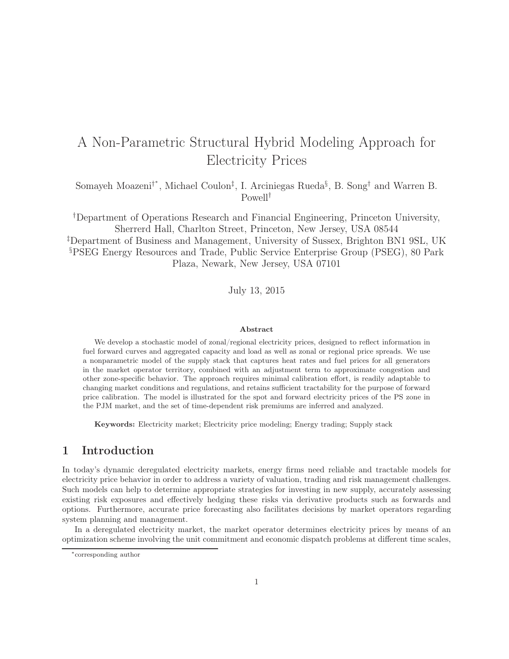# A Non-Parametric Structural Hybrid Modeling Approach for Electricity Prices

Somayeh Moazeni<sup>†\*</sup>, Michael Coulon<sup>‡</sup>, I. Arciniegas Rueda<sup>§</sup>, B. Song<sup>†</sup> and Warren B. Powell†

†Department of Operations Research and Financial Engineering, Princeton University, Sherrerd Hall, Charlton Street, Princeton, New Jersey, USA 08544 ‡Department of Business and Management, University of Sussex, Brighton BN1 9SL, UK §PSEG Energy Resources and Trade, Public Service Enterprise Group (PSEG), 80 Park Plaza, Newark, New Jersey, USA 07101

July 13, 2015

#### Abstract

We develop a stochastic model of zonal/regional electricity prices, designed to reflect information in fuel forward curves and aggregated capacity and load as well as zonal or regional price spreads. We use a nonparametric model of the supply stack that captures heat rates and fuel prices for all generators in the market operator territory, combined with an adjustment term to approximate congestion and other zone-specific behavior. The approach requires minimal calibration effort, is readily adaptable to changing market conditions and regulations, and retains sufficient tractability for the purpose of forward price calibration. The model is illustrated for the spot and forward electricity prices of the PS zone in the PJM market, and the set of time-dependent risk premiums are inferred and analyzed.

Keywords: Electricity market; Electricity price modeling; Energy trading; Supply stack

## 1 Introduction

In today's dynamic deregulated electricity markets, energy firms need reliable and tractable models for electricity price behavior in order to address a variety of valuation, trading and risk management challenges. Such models can help to determine appropriate strategies for investing in new supply, accurately assessing existing risk exposures and effectively hedging these risks via derivative products such as forwards and options. Furthermore, accurate price forecasting also facilitates decisions by market operators regarding system planning and management.

In a deregulated electricity market, the market operator determines electricity prices by means of an optimization scheme involving the unit commitment and economic dispatch problems at different time scales,

<sup>∗</sup> corresponding author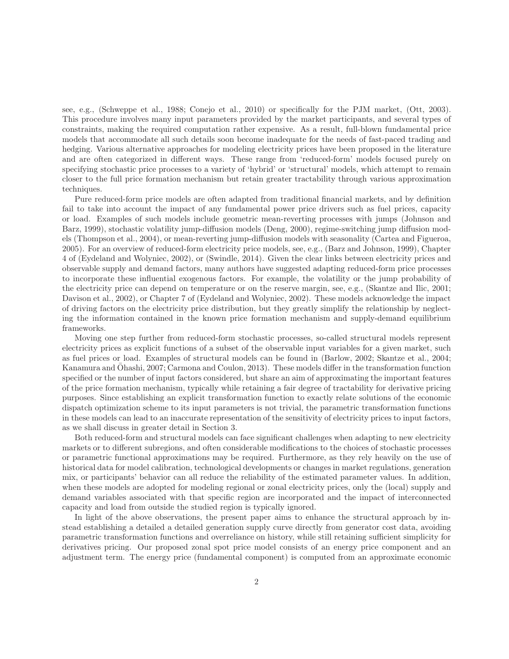see, e.g., (Schweppe et al., 1988; Conejo et al., 2010) or specifically for the PJM market, (Ott, 2003). This procedure involves many input parameters provided by the market participants, and several types of constraints, making the required computation rather expensive. As a result, full-blown fundamental price models that accommodate all such details soon become inadequate for the needs of fast-paced trading and hedging. Various alternative approaches for modeling electricity prices have been proposed in the literature and are often categorized in different ways. These range from 'reduced-form' models focused purely on specifying stochastic price processes to a variety of 'hybrid' or 'structural' models, which attempt to remain closer to the full price formation mechanism but retain greater tractability through various approximation techniques.

Pure reduced-form price models are often adapted from traditional financial markets, and by definition fail to take into account the impact of any fundamental power price drivers such as fuel prices, capacity or load. Examples of such models include geometric mean-reverting processes with jumps (Johnson and Barz, 1999), stochastic volatility jump-diffusion models (Deng, 2000), regime-switching jump diffusion models (Thompson et al., 2004), or mean-reverting jump-diffusion models with seasonality (Cartea and Figueroa, 2005). For an overview of reduced-form electricity price models, see, e.g., (Barz and Johnson, 1999), Chapter 4 of (Eydeland and Wolyniec, 2002), or (Swindle, 2014). Given the clear links between electricity prices and observable supply and demand factors, many authors have suggested adapting reduced-form price processes to incorporate these influential exogenous factors. For example, the volatility or the jump probability of the electricity price can depend on temperature or on the reserve margin, see, e.g., (Skantze and Ilic, 2001; Davison et al., 2002), or Chapter 7 of (Eydeland and Wolyniec, 2002). These models acknowledge the impact of driving factors on the electricity price distribution, but they greatly simplify the relationship by neglecting the information contained in the known price formation mechanism and supply-demand equilibrium frameworks.

Moving one step further from reduced-form stochastic processes, so-called structural models represent electricity prices as explicit functions of a subset of the observable input variables for a given market, such as fuel prices or load. Examples of structural models can be found in (Barlow, 2002; Skantze et al., 2004; Kanamura and Ohashi, 2007; Carmona and Coulon, 2013). These models differ in the transformation function specified or the number of input factors considered, but share an aim of approximating the important features of the price formation mechanism, typically while retaining a fair degree of tractability for derivative pricing purposes. Since establishing an explicit transformation function to exactly relate solutions of the economic dispatch optimization scheme to its input parameters is not trivial, the parametric transformation functions in these models can lead to an inaccurate representation of the sensitivity of electricity prices to input factors, as we shall discuss in greater detail in Section 3.

Both reduced-form and structural models can face significant challenges when adapting to new electricity markets or to different subregions, and often considerable modifications to the choices of stochastic processes or parametric functional approximations may be required. Furthermore, as they rely heavily on the use of historical data for model calibration, technological developments or changes in market regulations, generation mix, or participants' behavior can all reduce the reliability of the estimated parameter values. In addition, when these models are adopted for modeling regional or zonal electricity prices, only the (local) supply and demand variables associated with that specific region are incorporated and the impact of interconnected capacity and load from outside the studied region is typically ignored.

In light of the above observations, the present paper aims to enhance the structural approach by instead establishing a detailed a detailed generation supply curve directly from generator cost data, avoiding parametric transformation functions and overreliance on history, while still retaining sufficient simplicity for derivatives pricing. Our proposed zonal spot price model consists of an energy price component and an adjustment term. The energy price (fundamental component) is computed from an approximate economic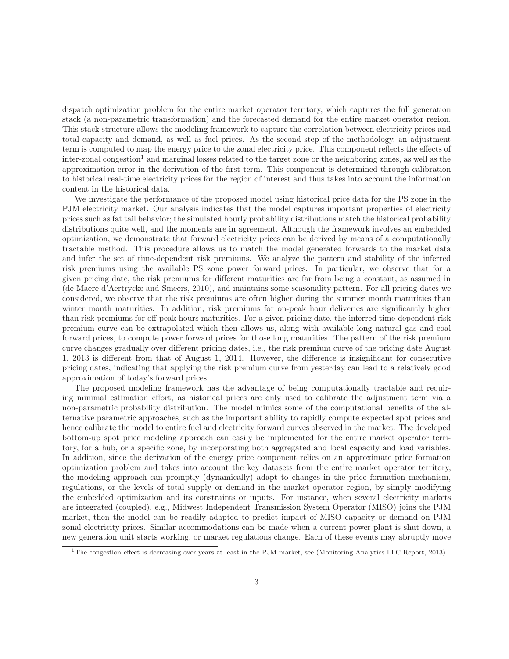dispatch optimization problem for the entire market operator territory, which captures the full generation stack (a non-parametric transformation) and the forecasted demand for the entire market operator region. This stack structure allows the modeling framework to capture the correlation between electricity prices and total capacity and demand, as well as fuel prices. As the second step of the methodology, an adjustment term is computed to map the energy price to the zonal electricity price. This component reflects the effects of  $inter-zonal congestion<sup>1</sup>$  and marginal losses related to the target zone or the neighboring zones, as well as the approximation error in the derivation of the first term. This component is determined through calibration to historical real-time electricity prices for the region of interest and thus takes into account the information content in the historical data.

We investigate the performance of the proposed model using historical price data for the PS zone in the PJM electricity market. Our analysis indicates that the model captures important properties of electricity prices such as fat tail behavior; the simulated hourly probability distributions match the historical probability distributions quite well, and the moments are in agreement. Although the framework involves an embedded optimization, we demonstrate that forward electricity prices can be derived by means of a computationally tractable method. This procedure allows us to match the model generated forwards to the market data and infer the set of time-dependent risk premiums. We analyze the pattern and stability of the inferred risk premiums using the available PS zone power forward prices. In particular, we observe that for a given pricing date, the risk premiums for different maturities are far from being a constant, as assumed in (de Maere d'Aertrycke and Smeers, 2010), and maintains some seasonality pattern. For all pricing dates we considered, we observe that the risk premiums are often higher during the summer month maturities than winter month maturities. In addition, risk premiums for on-peak hour deliveries are significantly higher than risk premiums for off-peak hours maturities. For a given pricing date, the inferred time-dependent risk premium curve can be extrapolated which then allows us, along with available long natural gas and coal forward prices, to compute power forward prices for those long maturities. The pattern of the risk premium curve changes gradually over different pricing dates, i.e., the risk premium curve of the pricing date August 1, 2013 is different from that of August 1, 2014. However, the difference is insignificant for consecutive pricing dates, indicating that applying the risk premium curve from yesterday can lead to a relatively good approximation of today's forward prices.

The proposed modeling framework has the advantage of being computationally tractable and requiring minimal estimation effort, as historical prices are only used to calibrate the adjustment term via a non-parametric probability distribution. The model mimics some of the computational benefits of the alternative parametric approaches, such as the important ability to rapidly compute expected spot prices and hence calibrate the model to entire fuel and electricity forward curves observed in the market. The developed bottom-up spot price modeling approach can easily be implemented for the entire market operator territory, for a hub, or a specific zone, by incorporating both aggregated and local capacity and load variables. In addition, since the derivation of the energy price component relies on an approximate price formation optimization problem and takes into account the key datasets from the entire market operator territory, the modeling approach can promptly (dynamically) adapt to changes in the price formation mechanism, regulations, or the levels of total supply or demand in the market operator region, by simply modifying the embedded optimization and its constraints or inputs. For instance, when several electricity markets are integrated (coupled), e.g., Midwest Independent Transmission System Operator (MISO) joins the PJM market, then the model can be readily adapted to predict impact of MISO capacity or demand on PJM zonal electricity prices. Similar accommodations can be made when a current power plant is shut down, a new generation unit starts working, or market regulations change. Each of these events may abruptly move

<sup>&</sup>lt;sup>1</sup>The congestion effect is decreasing over years at least in the PJM market, see (Monitoring Analytics LLC Report, 2013).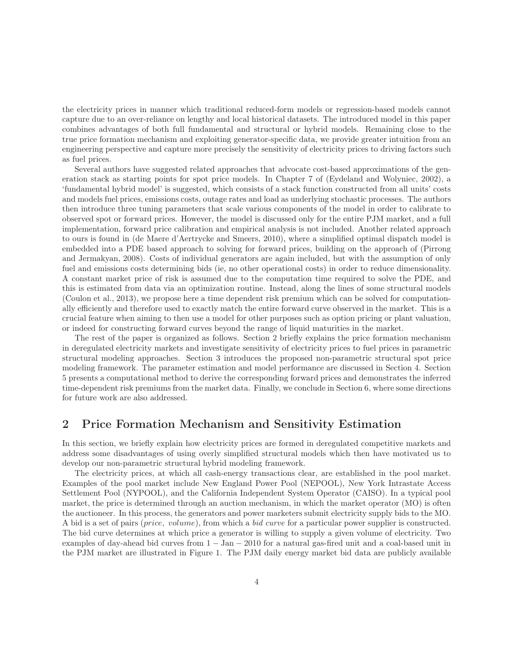the electricity prices in manner which traditional reduced-form models or regression-based models cannot capture due to an over-reliance on lengthy and local historical datasets. The introduced model in this paper combines advantages of both full fundamental and structural or hybrid models. Remaining close to the true price formation mechanism and exploiting generator-specific data, we provide greater intuition from an engineering perspective and capture more precisely the sensitivity of electricity prices to driving factors such as fuel prices.

Several authors have suggested related approaches that advocate cost-based approximations of the generation stack as starting points for spot price models. In Chapter 7 of (Eydeland and Wolyniec, 2002), a 'fundamental hybrid model' is suggested, which consists of a stack function constructed from all units' costs and models fuel prices, emissions costs, outage rates and load as underlying stochastic processes. The authors then introduce three tuning parameters that scale various components of the model in order to calibrate to observed spot or forward prices. However, the model is discussed only for the entire PJM market, and a full implementation, forward price calibration and empirical analysis is not included. Another related approach to ours is found in (de Maere d'Aertrycke and Smeers, 2010), where a simplified optimal dispatch model is embedded into a PDE based approach to solving for forward prices, building on the approach of (Pirrong and Jermakyan, 2008). Costs of individual generators are again included, but with the assumption of only fuel and emissions costs determining bids (ie, no other operational costs) in order to reduce dimensionality. A constant market price of risk is assumed due to the computation time required to solve the PDE, and this is estimated from data via an optimization routine. Instead, along the lines of some structural models (Coulon et al., 2013), we propose here a time dependent risk premium which can be solved for computationally efficiently and therefore used to exactly match the entire forward curve observed in the market. This is a crucial feature when aiming to then use a model for other purposes such as option pricing or plant valuation, or indeed for constructing forward curves beyond the range of liquid maturities in the market.

The rest of the paper is organized as follows. Section 2 briefly explains the price formation mechanism in deregulated electricity markets and investigate sensitivity of electricity prices to fuel prices in parametric structural modeling approaches. Section 3 introduces the proposed non-parametric structural spot price modeling framework. The parameter estimation and model performance are discussed in Section 4. Section 5 presents a computational method to derive the corresponding forward prices and demonstrates the inferred time-dependent risk premiums from the market data. Finally, we conclude in Section 6, where some directions for future work are also addressed.

## 2 Price Formation Mechanism and Sensitivity Estimation

In this section, we briefly explain how electricity prices are formed in deregulated competitive markets and address some disadvantages of using overly simplified structural models which then have motivated us to develop our non-parametric structural hybrid modeling framework.

The electricity prices, at which all cash-energy transactions clear, are established in the pool market. Examples of the pool market include New England Power Pool (NEPOOL), New York Intrastate Access Settlement Pool (NYPOOL), and the California Independent System Operator (CAISO). In a typical pool market, the price is determined through an auction mechanism, in which the market operator (MO) is often the auctioneer. In this process, the generators and power marketers submit electricity supply bids to the MO. A bid is a set of pairs (price, volume), from which a *bid curve* for a particular power supplier is constructed. The bid curve determines at which price a generator is willing to supply a given volume of electricity. Two examples of day-ahead bid curves from 1 − Jan − 2010 for a natural gas-fired unit and a coal-based unit in the PJM market are illustrated in Figure 1. The PJM daily energy market bid data are publicly available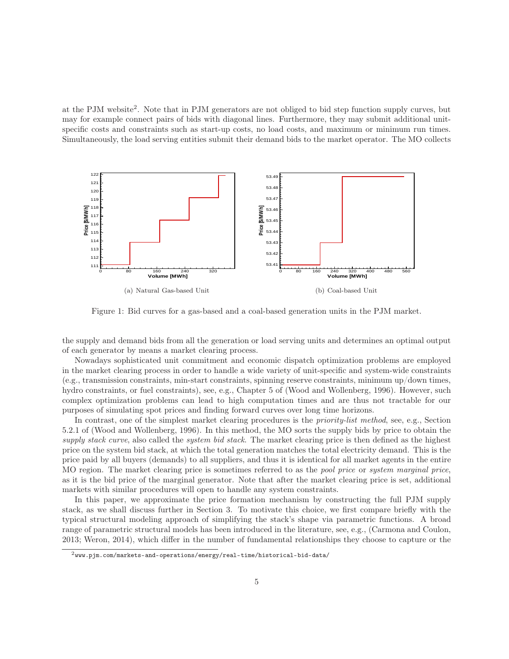at the PJM website<sup>2</sup>. Note that in PJM generators are not obliged to bid step function supply curves, but may for example connect pairs of bids with diagonal lines. Furthermore, they may submit additional unitspecific costs and constraints such as start-up costs, no load costs, and maximum or minimum run times. Simultaneously, the load serving entities submit their demand bids to the market operator. The MO collects



Figure 1: Bid curves for a gas-based and a coal-based generation units in the PJM market.

the supply and demand bids from all the generation or load serving units and determines an optimal output of each generator by means a market clearing process.

Nowadays sophisticated unit commitment and economic dispatch optimization problems are employed in the market clearing process in order to handle a wide variety of unit-specific and system-wide constraints (e.g., transmission constraints, min-start constraints, spinning reserve constraints, minimum up/down times, hydro constraints, or fuel constraints), see, e.g., Chapter 5 of (Wood and Wollenberg, 1996). However, such complex optimization problems can lead to high computation times and are thus not tractable for our purposes of simulating spot prices and finding forward curves over long time horizons.

In contrast, one of the simplest market clearing procedures is the *priority-list method*, see, e.g., Section 5.2.1 of (Wood and Wollenberg, 1996). In this method, the MO sorts the supply bids by price to obtain the *supply stack curve*, also called the *system bid stack*. The market clearing price is then defined as the highest price on the system bid stack, at which the total generation matches the total electricity demand. This is the price paid by all buyers (demands) to all suppliers, and thus it is identical for all market agents in the entire MO region. The market clearing price is sometimes referred to as the *pool price* or *system marginal price*, as it is the bid price of the marginal generator. Note that after the market clearing price is set, additional markets with similar procedures will open to handle any system constraints.

In this paper, we approximate the price formation mechanism by constructing the full PJM supply stack, as we shall discuss further in Section 3. To motivate this choice, we first compare briefly with the typical structural modeling approach of simplifying the stack's shape via parametric functions. A broad range of parametric structural models has been introduced in the literature, see, e.g., (Carmona and Coulon, 2013; Weron, 2014), which differ in the number of fundamental relationships they choose to capture or the

 $^{2}$ www.pjm.com/markets-and-operations/energy/real-time/historical-bid-data/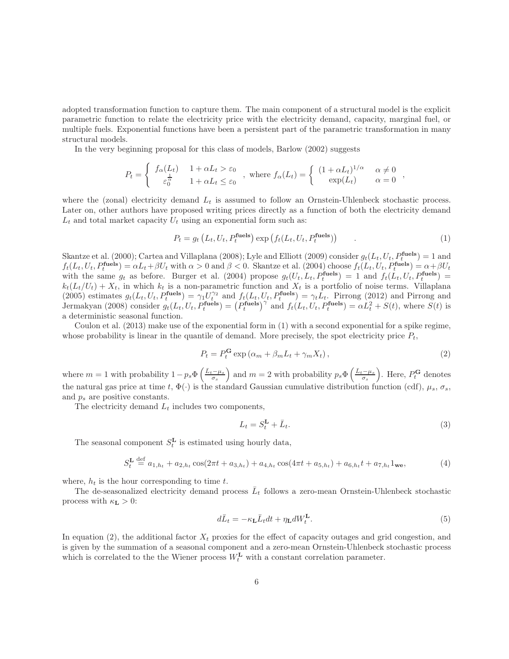adopted transformation function to capture them. The main component of a structural model is the explicit parametric function to relate the electricity price with the electricity demand, capacity, marginal fuel, or multiple fuels. Exponential functions have been a persistent part of the parametric transformation in many structural models.

In the very beginning proposal for this class of models, Barlow (2002) suggests

$$
P_t = \begin{cases} f_{\alpha}(L_t) & 1 + \alpha L_t > \varepsilon_0 \\ \varepsilon_0^{\frac{1}{\alpha}} & 1 + \alpha L_t \le \varepsilon_0 \end{cases}
$$
, where  $f_{\alpha}(L_t) = \begin{cases} (1 + \alpha L_t)^{1/\alpha} & \alpha \neq 0 \\ \exp(L_t) & \alpha = 0 \end{cases}$ ,

where the (zonal) electricity demand  $L_t$  is assumed to follow an Ornstein-Uhlenbeck stochastic process. Later on, other authors have proposed writing prices directly as a function of both the electricity demand  $L_t$  and total market capacity  $U_t$  using an exponential form such as:

$$
P_t = g_t \left( L_t, U_t, P_t^{\text{fuels}} \right) \exp \left( f_t (L_t, U_t, P_t^{\text{fuels}}) \right) \tag{1}
$$

Skantze et al. (2000); Cartea and Villaplana (2008); Lyle and Elliott (2009) consider  $g_t(L_t, U_t, P_t^{\text{fuels}}) = 1$  and  $f_t(L_t, U_t, P_t^{\text{fuels}}) = \alpha L_t + \beta U_t$  with  $\alpha > 0$  and  $\beta < 0$ . Skantze et al. (2004) choose  $f_t(L_t, U_t, P_t^{\text{fuels}}) = \alpha + \beta U_t$ with the same  $g_t$  as before. Burger et al. (2004) propose  $g_t(U_t, L_t, P_t^{\text{fuels}}) = 1$  and  $f_t(L_t, U_t, P_t^{\text{fuels}}) =$  $k_t(L_t/U_t) + X_t$ , in which  $k_t$  is a non-parametric function and  $X_t$  is a portfolio of noise terms. Villaplana (2005) estimates  $g_t(L_t, U_t, P_t^{\text{fuels}}) = \gamma_1 U_t^{\gamma_2}$  and  $f_t(L_t, U_t, P_t^{\text{fuels}}) = \gamma_t L_t$ . Pirrong (2012) and Pirrong and Jermakyan (2008) consider  $g_t(L_t, U_t, P_t^{\text{fuels}}) = (P_t^{\text{fuels}})^{\gamma}$  and  $f_t(L_t, U_t, P_t^{\text{fuels}}) = \alpha L_t^2 + S(t)$ , where  $S(t)$  is a deterministic seasonal function.

Coulon et al. (2013) make use of the exponential form in (1) with a second exponential for a spike regime, whose probability is linear in the quantile of demand. More precisely, the spot electricity price  $P_t$ ,

$$
P_t = P_t^{\mathbf{G}} \exp\left(\alpha_m + \beta_m L_t + \gamma_m X_t\right),\tag{2}
$$

where  $m = 1$  with probability  $1 - p_s \Phi\left(\frac{\bar{L}_t - \mu_s}{\sigma_s}\right)$  and  $m = 2$  with probability  $p_s \Phi\left(\frac{\bar{L}_t - \mu_s}{\sigma_s}\right)$ . Here,  $P_t^{\mathbf{G}}$  denotes the natural gas price at time t,  $\Phi(\cdot)$  is the standard Gaussian cumulative distribution function (cdf),  $\mu_s$ ,  $\sigma_s$ , and  $p_s$  are positive constants.

The electricity demand  $L_t$  includes two components,

$$
L_t = S_t^{\mathbf{L}} + \bar{L}_t. \tag{3}
$$

The seasonal component  $S_t^{\mathbf{L}}$  is estimated using hourly data,

$$
S_t^{\mathbf{L}} \stackrel{\text{def}}{=} a_{1,h_t} + a_{2,h_t} \cos(2\pi t + a_{3,h_t}) + a_{4,h_t} \cos(4\pi t + a_{5,h_t}) + a_{6,h_t}t + a_{7,h_t}1_{\mathbf{we}},\tag{4}
$$

where,  $h_t$  is the hour corresponding to time t.

The de-seasonalized electricity demand process  $\bar{L}_t$  follows a zero-mean Ornstein-Uhlenbeck stochastic process with  $\kappa_{\mathbf{L}} > 0$ :

$$
d\bar{L}_t = -\kappa_L \bar{L}_t dt + \eta_L dW_t^L.
$$
\n(5)

In equation (2), the additional factor  $X_t$  proxies for the effect of capacity outages and grid congestion, and is given by the summation of a seasonal component and a zero-mean Ornstein-Uhlenbeck stochastic process which is correlated to the the Wiener process  $W_t^{\mathbf{L}}$  with a constant correlation parameter.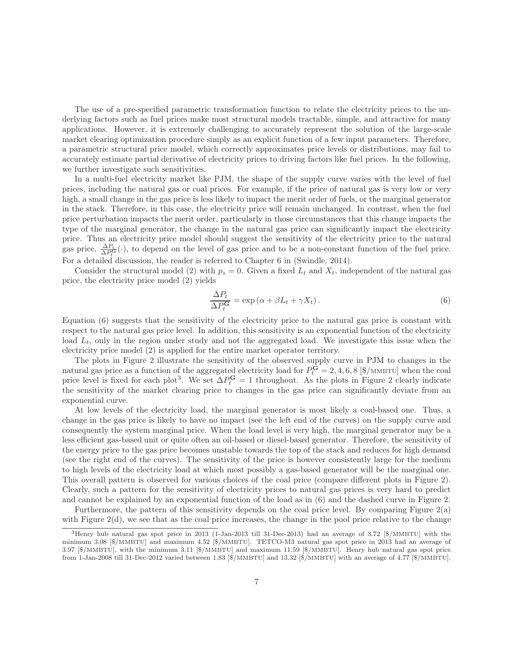The use of a pre-specified parametric transformation function to relate the electricity prices to the underlying factors such as fuel prices make most structural models tractable, simple, and attractive for many applications. However, it is extremely challenging to accurately represent the solution of the large-scale market clearing optimization procedure simply as an explicit function of a few input parameters. Therefore, a parametric structural price model, which correctly approximates price levels or distributions, may fail to accurately estimate partial derivative of electricity prices to driving factors like fuel prices. In the following, we further investigate such sensitivities.

In a multi-fuel electricity market like PJM, the shape of the supply curve varies with the level of fuel prices, including the natural gas or coal prices. For example, if the price of natural gas is very low or very high, a small change in the gas price is less likely to impact the merit order of fuels, or the marginal generator in the stack. Therefore, in this case, the electricity price will remain unchanged. In contrast, when the fuel price perturbation impacts the merit order, particularly in those circumstances that this change impacts the type of the marginal generator, the change in the natural gas price can significantly impact the electricity price. Thus an electricity price model should suggest the sensitivity of the electricity price to the natural gas price,  $\frac{\Delta P_t}{\Delta P_t^G}(\cdot)$ , to depend on the level of gas price and to be a non-constant function of the fuel price. For a detailed discussion, the reader is referred to Chapter 6 in (Swindle, 2014).

Consider the structural model (2) with  $p_s = 0$ . Given a fixed  $L_t$  and  $X_t$ , independent of the natural gas price, the electricity price model (2) yields

$$
\frac{\Delta P_t}{\Delta P_t^{\mathbf{G}}} = \exp\left(\alpha + \beta L_t + \gamma X_t\right). \tag{6}
$$

Equation (6) suggests that the sensitivity of the electricity price to the natural gas price is constant with respect to the natural gas price level. In addition, this sensitivity is an exponential function of the electricity load  $L_t$ , only in the region under study and not the aggregated load. We investigate this issue when the electricity price model (2) is applied for the entire market operator territory.

The plots in Figure 2 illustrate the sensitivity of the observed supply curve in PJM to changes in the natural gas price as a function of the aggregated electricity load for  $P_t^{\mathbf{G}} = 2, 4, 6, 8$  [\$/MMBTU] when the coal price level is fixed for each plot<sup>3</sup>. We set  $\Delta P_t^{\mathbf{G}} = 1$  throughout. As the plots in Figure 2 clearly indicate the sensitivity of the market clearing price to changes in the gas price can significantly deviate from an exponential curve.

At low levels of the electricity load, the marginal generator is most likely a coal-based one. Thus, a change in the gas price is likely to have no impact (see the left end of the curves) on the supply curve and consequently the system marginal price. When the load level is very high, the marginal generator may be a less efficient gas-based unit or quite often an oil-based or diesel-based generator. Therefore, the sensitivity of the energy price to the gas price becomes unstable towards the top of the stack and reduces for high demand (see the right end of the curves). The sensitivity of the price is however consistently large for the medium to high levels of the electricity load at which most possibly a gas-based generator will be the marginal one. This overall pattern is observed for various choices of the coal price (compare different plots in Figure 2). Clearly, such a pattern for the sensitivity of electricity prices to natural gas prices is very hard to predict and cannot be explained by an exponential function of the load as in (6) and the dashed curve in Figure 2.

Furthermore, the pattern of this sensitivity depends on the coal price level. By comparing Figure 2(a) with Figure 2(d), we see that as the coal price increases, the change in the pool price relative to the change

<sup>3</sup>Henry hub natural gas spot price in 2013 (1-Jan-2013 till 31-Dec-2013) had an average of 3.72 [\$/MMBTU] with the minimum 3.08 [\$/MMBTU] and maximum 4.52 [\$/MMBTU]. TETCO-M3 natural gas spot price in 2013 had an average of 3.97 [\$/MMBTU], with the minimum 3.11 [\$/MMBTU] and maximum 11.59 [\$/MMBTU]. Henry hub natural gas spot price from 1-Jan-2008 till 31-Dec-2012 varied between 1.83 [\$/MMBTU] and 13.32 [\$/MMBTU] with an average of 4.77 [\$/MMBTU].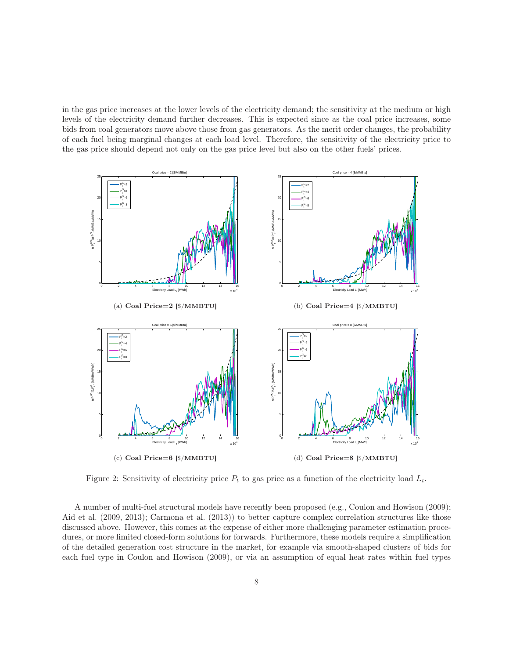in the gas price increases at the lower levels of the electricity demand; the sensitivity at the medium or high levels of the electricity demand further decreases. This is expected since as the coal price increases, some bids from coal generators move above those from gas generators. As the merit order changes, the probability of each fuel being marginal changes at each load level. Therefore, the sensitivity of the electricity price to the gas price should depend not only on the gas price level but also on the other fuels' prices.



Figure 2: Sensitivity of electricity price  $P_t$  to gas price as a function of the electricity load  $L_t$ .

A number of multi-fuel structural models have recently been proposed (e.g., Coulon and Howison (2009); Aid et al. (2009, 2013); Carmona et al. (2013)) to better capture complex correlation structures like those discussed above. However, this comes at the expense of either more challenging parameter estimation procedures, or more limited closed-form solutions for forwards. Furthermore, these models require a simplification of the detailed generation cost structure in the market, for example via smooth-shaped clusters of bids for each fuel type in Coulon and Howison (2009), or via an assumption of equal heat rates within fuel types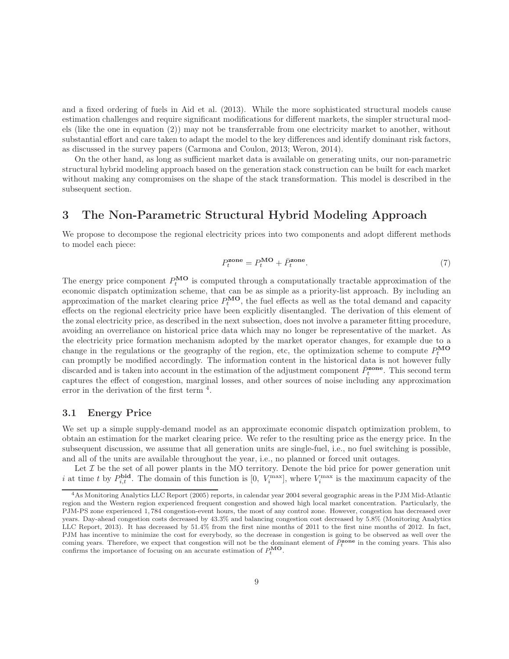and a fixed ordering of fuels in Aid et al. (2013). While the more sophisticated structural models cause estimation challenges and require significant modifications for different markets, the simpler structural models (like the one in equation (2)) may not be transferrable from one electricity market to another, without substantial effort and care taken to adapt the model to the key differences and identify dominant risk factors, as discussed in the survey papers (Carmona and Coulon, 2013; Weron, 2014).

On the other hand, as long as sufficient market data is available on generating units, our non-parametric structural hybrid modeling approach based on the generation stack construction can be built for each market without making any compromises on the shape of the stack transformation. This model is described in the subsequent section.

# 3 The Non-Parametric Structural Hybrid Modeling Approach

We propose to decompose the regional electricity prices into two components and adopt different methods to model each piece:

$$
P_t^{\text{zone}} = P_t^{\text{MO}} + \bar{P}_t^{\text{zone}}.\tag{7}
$$

The energy price component  $P_t^{\text{MO}}$  is computed through a computationally tractable approximation of the economic dispatch optimization scheme, that can be as simple as a priority-list approach. By including an approximation of the market clearing price  $P_t^{\text{MO}}$ , the fuel effects as well as the total demand and capacity effects on the regional electricity price have been explicitly disentangled. The derivation of this element of the zonal electricity price, as described in the next subsection, does not involve a parameter fitting procedure, avoiding an overreliance on historical price data which may no longer be representative of the market. As the electricity price formation mechanism adopted by the market operator changes, for example due to a change in the regulations or the geography of the region, etc, the optimization scheme to compute  $P_t^{\text{MO}}$ can promptly be modified accordingly. The information content in the historical data is not however fully discarded and is taken into account in the estimation of the adjustment component  $\bar{P}_t^{\text{zone}}$ . This second term captures the effect of congestion, marginal losses, and other sources of noise including any approximation error in the derivation of the first term <sup>4</sup>.

#### 3.1 Energy Price

We set up a simple supply-demand model as an approximate economic dispatch optimization problem, to obtain an estimation for the market clearing price. We refer to the resulting price as the energy price. In the subsequent discussion, we assume that all generation units are single-fuel, i.e., no fuel switching is possible, and all of the units are available throughout the year, i.e., no planned or forced unit outages.

Let  $\mathcal I$  be the set of all power plants in the MO territory. Denote the bid price for power generation unit i at time t by  $P_{i,t}^{\text{bid}}$ . The domain of this function is [0,  $V_i^{\text{max}}$ ], where  $V_i^{\text{max}}$  is the maximum capacity of the

<sup>4</sup>As Monitoring Analytics LLC Report (2005) reports, in calendar year 2004 several geographic areas in the PJM Mid-Atlantic region and the Western region experienced frequent congestion and showed high local market concentration. Particularly, the PJM-PS zone experienced 1, 784 congestion-event hours, the most of any control zone. However, congestion has decreased over years. Day-ahead congestion costs decreased by 43.3% and balancing congestion cost decreased by 5.8% (Monitoring Analytics LLC Report, 2013). It has decreased by 51.4% from the first nine months of 2011 to the first nine months of 2012. In fact, PJM has incentive to minimize the cost for everybody, so the decrease in congestion is going to be observed as well over the coming years. Therefore, we expect that congestion will not be the dominant element of  $\bar{P}_t^{\text{zone}}$  in the coming years. This also confirms the importance of focusing on an accurate estimation of  $P_t^{\textbf{MO}}$ .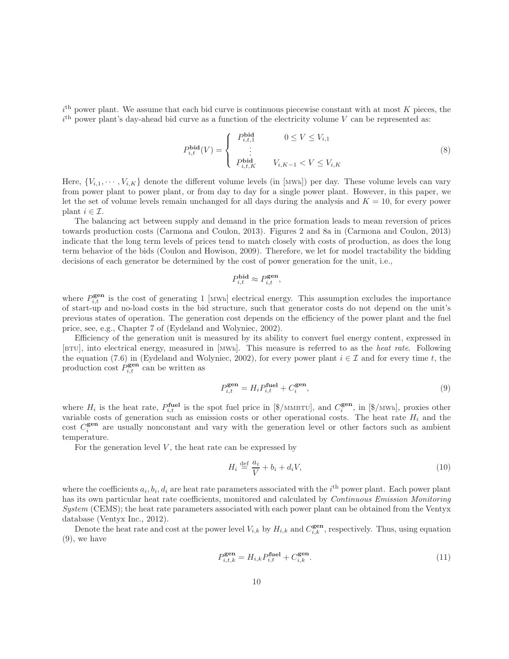$i<sup>th</sup>$  power plant. We assume that each bid curve is continuous piecewise constant with at most K pieces, the  $i<sup>th</sup>$  power plant's day-ahead bid curve as a function of the electricity volume V can be represented as:

$$
P_{i,t}^{\text{bid}}(V) = \begin{cases} P_{i,t,1}^{\text{bid}} & 0 \le V \le V_{i,1} \\ \vdots & \vdots \\ P_{i,t,K}^{\text{bid}} & V_{i,K-1} < V \le V_{i,K} \end{cases} \tag{8}
$$

Here,  ${V_{i,1}, \dots, V_{i,K}}$  denote the different volume levels (in [MWh]) per day. These volume levels can vary from power plant to power plant, or from day to day for a single power plant. However, in this paper, we let the set of volume levels remain unchanged for all days during the analysis and  $K = 10$ , for every power plant  $i \in \mathcal{I}$ .

The balancing act between supply and demand in the price formation leads to mean reversion of prices towards production costs (Carmona and Coulon, 2013). Figures 2 and 8a in (Carmona and Coulon, 2013) indicate that the long term levels of prices tend to match closely with costs of production, as does the long term behavior of the bids (Coulon and Howison, 2009). Therefore, we let for model tractability the bidding decisions of each generator be determined by the cost of power generation for the unit, i.e.,

$$
P_{i,t}^{\text{bid}} \approx P_{i,t}^{\text{gen}},
$$

where  $P_{i,t}^{\text{gen}}$  is the cost of generating 1 [MWh] electrical energy. This assumption excludes the importance of start-up and no-load costs in the bid structure, such that generator costs do not depend on the unit's previous states of operation. The generation cost depends on the efficiency of the power plant and the fuel price, see, e.g., Chapter 7 of (Eydeland and Wolyniec, 2002).

Efficiency of the generation unit is measured by its ability to convert fuel energy content, expressed in [BTU], into electrical energy, measured in [MWh]. This measure is referred to as the *heat rate*. Following the equation (7.6) in (Eydeland and Wolyniec, 2002), for every power plant  $i \in \mathcal{I}$  and for every time t, the production cost  $P_{i,t}^{\text{gen}}$  can be written as

$$
P_{i,t}^{\text{gen}} = H_i P_{i,t}^{\text{fuel}} + C_i^{\text{gen}},\tag{9}
$$

where  $H_i$  is the heat rate,  $P_{i,t}^{\text{fuel}}$  is the spot fuel price in [\$/MMBTU], and  $C_i^{\text{gen}}$ , in [\$/MWh], proxies other variable costs of generation such as emission costs or other operational costs. The heat rate  $H_i$  and the cost  $C_i^{\text{gen}}$  are usually nonconstant and vary with the generation level or other factors such as ambient temperature.

For the generation level  $V$ , the heat rate can be expressed by

$$
H_i \stackrel{\text{def}}{=} \frac{a_i}{V} + b_i + d_i V,\tag{10}
$$

where the coefficients  $a_i, b_i, d_i$  are heat rate parameters associated with the  $i^{\text{th}}$  power plant. Each power plant has its own particular heat rate coefficients, monitored and calculated by *Continuous Emission Monitoring System* (CEMS); the heat rate parameters associated with each power plant can be obtained from the Ventyx database (Ventyx Inc., 2012).

Denote the heat rate and cost at the power level  $V_{i,k}$  by  $H_{i,k}$  and  $C_{i,k}^{\text{gen}}$ , respectively. Thus, using equation (9), we have

$$
P_{i,t,k}^{\text{gen}} = H_{i,k} P_{i,t}^{\text{fuel}} + C_{i,k}^{\text{gen}}.
$$
\n
$$
(11)
$$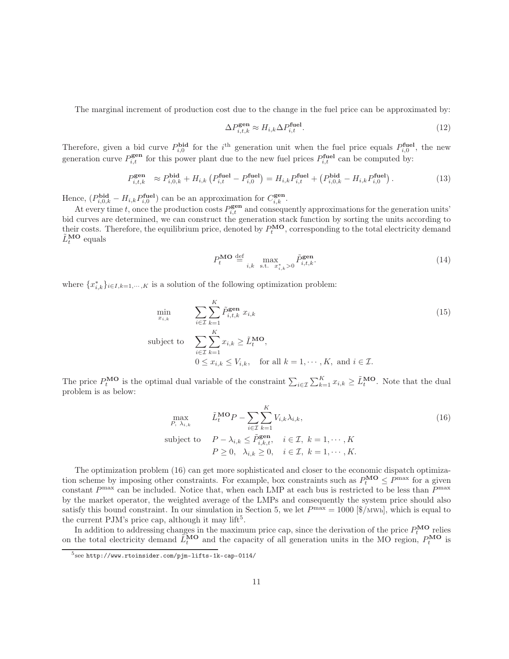The marginal increment of production cost due to the change in the fuel price can be approximated by:

$$
\Delta P_{i,t,k}^{\text{gen}} \approx H_{i,k} \Delta P_{i,t}^{\text{fuel}}.
$$
\n(12)

Therefore, given a bid curve  $P_{i,0}^{\text{bid}}$  for the  $i^{\text{th}}$  generation unit when the fuel price equals  $P_{i,0}^{\text{fuel}}$ , the new generation curve  $P_{i,t}^{\text{gen}}$  for this power plant due to the new fuel prices  $P_{i,t}^{\text{fuel}}$  can be computed by:

$$
P_{i,t,k}^{\text{gen}} \approx P_{i,0,k}^{\text{bid}} + H_{i,k} \left( P_{i,t}^{\text{fuel}} - P_{i,0}^{\text{fuel}} \right) = H_{i,k} P_{i,t}^{\text{fuel}} + \left( P_{i,0,k}^{\text{bid}} - H_{i,k} P_{i,0}^{\text{fuel}} \right). \tag{13}
$$

Hence,  $(P_{i,0,k}^{\text{bid}} - H_{i,k} P_{i,0}^{\text{fuel}})$  can be an approximation for  $C_{i,k}^{\text{gen}}$ .

At every time t, once the production costs  $P_{i,t}^{\text{gen}}$  and consequently approximations for the generation units' bid curves are determined, we can construct the generation stack function by sorting the units according to their costs. Therefore, the equilibrium price, denoted by  $P_t^{\rm MO}$ , corresponding to the total electricity demand  $\tilde{L}_t^{\textbf{MO}}$  equals

$$
P_t^{\text{MO}} \stackrel{\text{def}}{=} \max_{i,k \text{ s.t. } x_{i,k}^* > 0} \tilde{P}_{i,t,k}^{\text{gen}}.
$$
 (14)

where  $\{x_{i,k}^*\}_{i\in I, k=1,\dots,K}$  is a solution of the following optimization problem:

$$
\min_{x_{i,k}} \qquad \sum_{i \in \mathcal{I}} \sum_{k=1}^{K} \tilde{P}_{i,t,k}^{\text{gen}} x_{i,k} \tag{15}
$$
\n
$$
\text{subject to} \quad \sum_{i \in \mathcal{I}} \sum_{k=1}^{K} x_{i,k} \ge \tilde{L}_t^{\text{MO}},
$$
\n
$$
0 \le x_{i,k} \le V_{i,k}, \quad \text{for all } k = 1, \cdots, K, \text{ and } i \in \mathcal{I}.
$$

The price  $P_t^{\text{MO}}$  is the optimal dual variable of the constraint  $\sum_{i\in\mathcal{I}}\sum_{k=1}^K x_{i,k} \geq \tilde{L}_t^{\text{MO}}$ . Note that the dual problem is as below:

$$
\max_{P, \lambda_{i,k}} \tilde{L}_t^{\text{MO}} P - \sum_{i \in \mathcal{I}} \sum_{k=1}^K V_{i,k} \lambda_{i,k},
$$
\nsubject to 
$$
P - \lambda_{i,k} \leq \tilde{P}_{i,k,t}^{\text{gen}}, \quad i \in \mathcal{I}, \ k = 1, \cdots, K
$$
\n
$$
P \geq 0, \quad \lambda_{i,k} \geq 0, \quad i \in \mathcal{I}, \ k = 1, \cdots, K.
$$
\n(16)

The optimization problem (16) can get more sophisticated and closer to the economic dispatch optimization scheme by imposing other constraints. For example, box constraints such as  $P_t^{\text{MO}} \leq P_{\text{max}}^{\text{max}}$  for a given constant  $P^{\max}$  can be included. Notice that, when each LMP at each bus is restricted to be less than  $P^{\max}$ by the market operator, the weighted average of the LMPs and consequently the system price should also satisfy this bound constraint. In our simulation in Section 5, we let  $P^{\max} = 1000 \,[\frac{6}{\text{MWh}}]$ , which is equal to the current PJM's price cap, although it may  $\text{lift}^5$ .

In addition to addressing changes in the maximum price cap, since the derivation of the price  $P_t^{\text{MO}}$  relies on the total electricity demand  $\tilde{L}_{t}^{\text{MO}}$  and the capacity of all generation units in the MO region,  $P_{t}^{\text{MO}}$  is

 $5$ see http://www.rtoinsider.com/pjm-lifts-1k-cap-0114/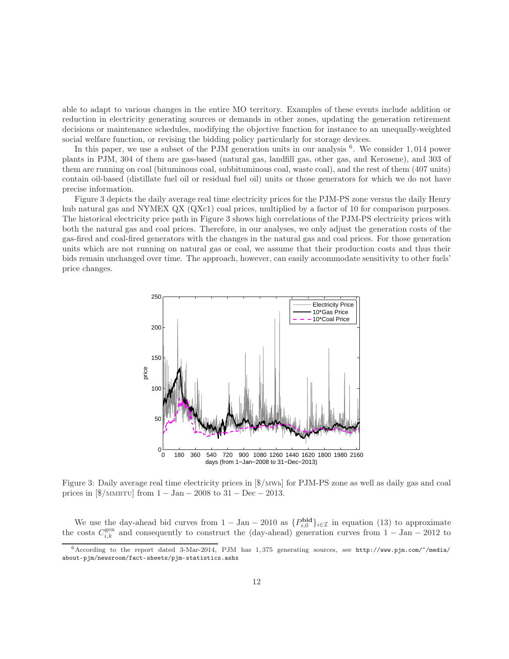able to adapt to various changes in the entire MO territory. Examples of these events include addition or reduction in electricity generating sources or demands in other zones, updating the generation retirement decisions or maintenance schedules, modifying the objective function for instance to an unequally-weighted social welfare function, or revising the bidding policy particularly for storage devices.

In this paper, we use a subset of the PJM generation units in our analysis  $6$ . We consider 1,014 power plants in PJM, 304 of them are gas-based (natural gas, landfill gas, other gas, and Kerosene), and 303 of them are running on coal (bituminous coal, subbituminous coal, waste coal), and the rest of them (407 units) contain oil-based (distillate fuel oil or residual fuel oil) units or those generators for which we do not have precise information.

Figure 3 depicts the daily average real time electricity prices for the PJM-PS zone versus the daily Henry hub natural gas and NYMEX QX (QXc1) coal prices, multiplied by a factor of 10 for comparison purposes. The historical electricity price path in Figure 3 shows high correlations of the PJM-PS electricity prices with both the natural gas and coal prices. Therefore, in our analyses, we only adjust the generation costs of the gas-fired and coal-fired generators with the changes in the natural gas and coal prices. For those generation units which are not running on natural gas or coal, we assume that their production costs and thus their bids remain unchanged over time. The approach, however, can easily accommodate sensitivity to other fuels' price changes.



Figure 3: Daily average real time electricity prices in  $[\frac{6}{\text{MWh}}]$  for PJM-PS zone as well as daily gas and coal prices in  $[\frac{6}{MMTU}]$  from 1 – Jan – 2008 to 31 – Dec – 2013.

We use the day-ahead bid curves from  $1 - \text{Jan} - 2010$  as  $\{P_{i,0}^{\text{bid}}\}_{i \in \mathcal{I}}$  in equation (13) to approximate the costs  $C_{i,k}^{\text{gen}}$  and consequently to construct the (day-ahead) generation curves from  $1 - \text{Jan} - 2012$  to

 $6$ According to the report dated 3-Mar-2014, PJM has 1,375 generating sources, see http://www.pjm.com/~/media/ about-pjm/newsroom/fact-sheets/pjm-statistics.ashx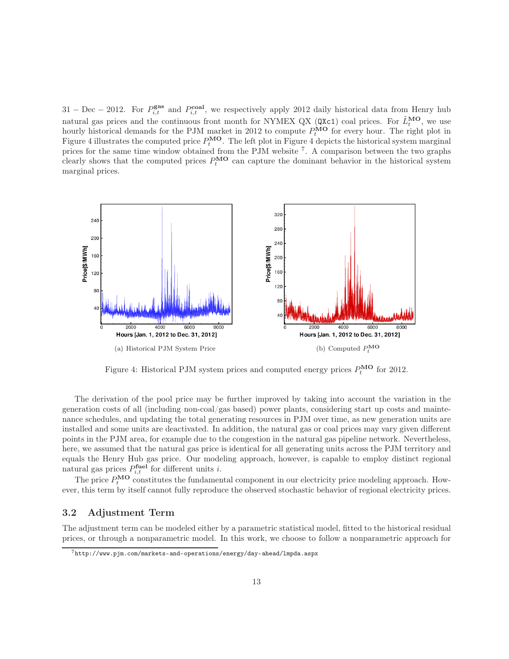$31 - \text{Dec} - 2012$ . For  $P_{i,t}^{\text{gas}}$  and  $P_{i,t}^{\text{coal}}$ , we respectively apply 2012 daily historical data from Henry hub natural gas prices and the continuous front month for NYMEX QX (QXc1) coal prices. For  $\tilde{L}_t^{MO}$ , we use hourly historical demands for the PJM market in 2012 to compute  $P_t^{\text{MO}}$  for every hour. The right plot in Figure 4 illustrates the computed price  $P_t^{\text{MO}}$ . The left plot in Figure 4 depicts the historical system marginal prices for the same time window obtained from the PJM website <sup>7</sup>. A comparison between the two graphs clearly shows that the computed prices  $P_t^{\text{MO}}$  can capture the dominant behavior in the historical system marginal prices.



Figure 4: Historical PJM system prices and computed energy prices  $P_t^{\text{MO}}$  for 2012.

The derivation of the pool price may be further improved by taking into account the variation in the generation costs of all (including non-coal/gas based) power plants, considering start up costs and maintenance schedules, and updating the total generating resources in PJM over time, as new generation units are installed and some units are deactivated. In addition, the natural gas or coal prices may vary given different points in the PJM area, for example due to the congestion in the natural gas pipeline network. Nevertheless, here, we assumed that the natural gas price is identical for all generating units across the PJM territory and equals the Henry Hub gas price. Our modeling approach, however, is capable to employ distinct regional natural gas prices  $P_{i,t}^{\text{fuel}}$  for different units *i*.

The price  $P_t^{\text{MO}}$  constitutes the fundamental component in our electricity price modeling approach. However, this term by itself cannot fully reproduce the observed stochastic behavior of regional electricity prices.

#### 3.2 Adjustment Term

The adjustment term can be modeled either by a parametric statistical model, fitted to the historical residual prices, or through a nonparametric model. In this work, we choose to follow a nonparametric approach for

 $7$ http://www.pjm.com/markets-and-operations/energy/day-ahead/lmpda.aspx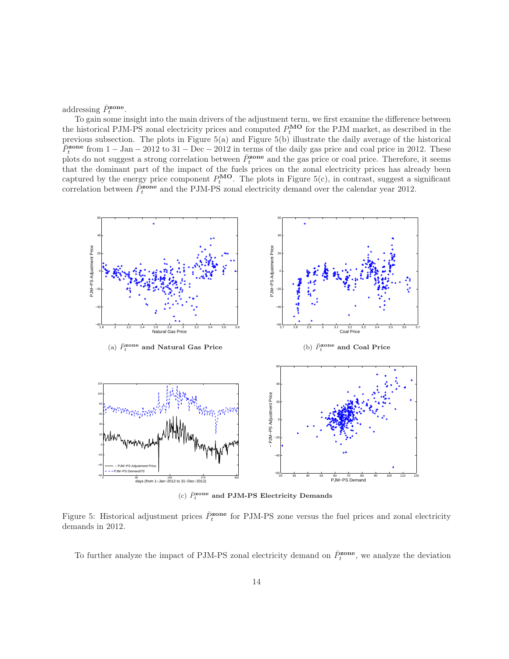addressing  $\bar{P}_t^{\text{zone}}$ .

To gain some insight into the main drivers of the adjustment term, we first examine the difference between the historical PJM-PS zonal electricity prices and computed  $P_t^{\text{MO}}$  for the PJM market, as described in the previous subsection. The plots in Figure 5(a) and Figure 5(b) illustrate the daily average of the historical  $\bar{P}_t^{\text{zone}}$  from  $1 - \text{Jan} - 2012$  to  $31 - \text{Dec} - 2012$  in terms of the daily gas price and coal price in 2012. These plots do not suggest a strong correlation between  $\bar{P}_{t}^{\text{zone}}$  and the gas price or coal price. Therefore, it seems that the dominant part of the impact of the fuels prices on the zonal electricity prices has already been captured by the energy price component  $P_t^{\text{MO}}$ . The plots in Figure 5(c), in contrast, suggest a significant correlation between  $\overline{P}_{t}^{\text{zone}}$  and the PJM-PS zonal electricity demand over the calendar year 2012.



(c)  $\bar{P}_{t}^{\textbf{zone}}$  and PJM-PS Electricity Demands

Figure 5: Historical adjustment prices  $\bar{P}_t^{\text{zone}}$  for PJM-PS zone versus the fuel prices and zonal electricity demands in 2012.

To further analyze the impact of PJM-PS zonal electricity demand on  $\bar{P}_t^{\text{zone}}$ , we analyze the deviation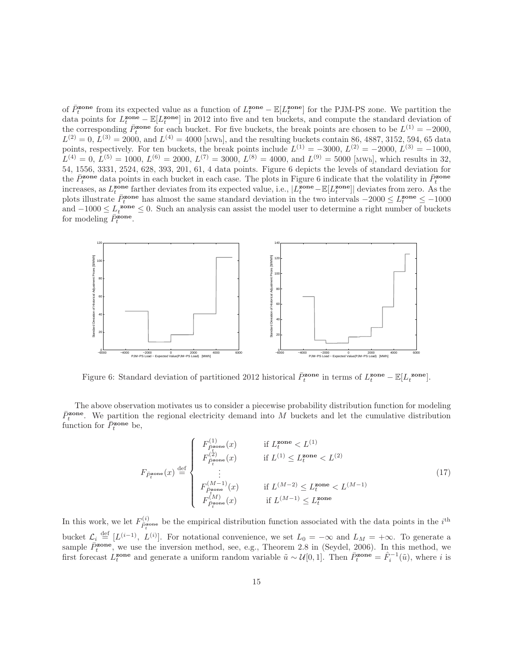of  $\bar{P}_t^{\text{zone}}$  from its expected value as a function of  $L_t^{\text{zone}} - \mathbb{E}[L_t^{\text{zone}}]$  for the PJM-PS zone. We partition the data points for  $L_t^{\text{zone}} - \mathbb{E}[L_t^{\text{zone}}]$  in 2012 into five and ten buckets, and compute the standard deviation of the corresponding  $\overline{P}_t^{\text{zone}}$  for each bucket. For five buckets, the break points are chosen to be  $L^{(1)} = -2000$ ,  $L^{(2)} = 0, L^{(3)} = 2000$ , and  $L^{(4)} = 4000$  [MWh], and the resulting buckets contain 86, 4887, 3152, 594, 65 data points, respectively. For ten buckets, the break points include  $L^{(1)} = -3000$ ,  $L^{(2)} = -2000$ ,  $L^{(3)} = -1000$ ,  $L^{(4)} = 0, L^{(5)} = 1000, L^{(6)} = 2000, L^{(7)} = 3000, L^{(8)} = 4000, \text{ and } L^{(9)} = 5000 \text{ [MWh]}, \text{ which results in 32,}$ 54, 1556, 3331, 2524, 628, 393, 201, 61, 4 data points. Figure 6 depicts the levels of standard deviation for the  $\bar{P}_t^{\text{zone}}$  data points in each bucket in each case. The plots in Figure 6 indicate that the volatility in  $\bar{P}_t^{\text{zone}}$ increases, as  $L_t^{\text{zone}}$  farther deviates from its expected value, i.e.,  $|L_t^{\text{zone}} - \mathbb{E}[L_t^{\text{zone}}]|$  deviates from zero. As the plots illustrate  $\bar{P}_t^{\text{zone}}$  has almost the same standard deviation in the two intervals  $-2000 \le L_t^{\text{zone}} \le -1000$ and  $-1000 \le L_t^{\text{zone}} \le 0$ . Such an analysis can assist the model user to determine a right number of buckets for modeling  $\bar{P}_t^{\text{zone}}$ .



Figure 6: Standard deviation of partitioned 2012 historical  $\bar{P}_t^{\text{zone}}$  in terms of  $L_t^{\text{zone}} - \mathbb{E}[L_t^{\text{zone}}]$ .

The above observation motivates us to consider a piecewise probability distribution function for modeling  $\bar{P}_{t}^{\text{zone}}$ . We partition the regional electricity demand into M buckets and let the cumulative distribution function for  $\bar{P}_t^{\text{zone}}$  be,

$$
F_{\bar{P}_{t}^{\text{zone}}}(x) \stackrel{\text{def}}{=} \begin{cases} F_{\bar{P}_{t}^{\text{zone}}}^{(1)} & \text{if } L_{t}^{\text{zone}} < L^{(1)} \\ F_{\bar{P}_{t}^{\text{zone}}}^{(2)} & \text{if } L^{(1)} \le L_{t}^{\text{zone}} < L^{(2)} \\ \vdots & \vdots \\ F_{\bar{P}_{t}^{\text{cone}}}^{(M-1)}(x) & \text{if } L^{(M-2)} \le L_{t}^{\text{zone}} < L^{(M-1)} \\ F_{\bar{P}_{t}^{\text{zone}}}^{(M)}(x) & \text{if } L^{(M-1)} \le L_{t}^{\text{zone}} \end{cases} \tag{17}
$$

In this work, we let  $F_{\bar{P}_{\ell}^{\text{zone}}}^{(i)}$  be the empirical distribution function associated with the data points in the  $i^{\text{th}}$ bucket  $\mathcal{L}_i \stackrel{\text{def}}{=} [L^{(i-1)}, L^{(i)}]$ . For notational convenience, we set  $L_0 = -\infty$  and  $L_M = +\infty$ . To generate a sample  $\bar{P}_t^{\text{zone}}$ , we use the inversion method, see, e.g., Theorem 2.8 in (Seydel, 2006). In this method, we first forecast  $L_t^{\text{zone}}$  and generate a uniform random variable  $\tilde{u} \sim \mathcal{U}[0, 1]$ . Then  $\overline{P}_t^{\text{zone}} = \hat{F}_i^{-1}(\tilde{u})$ , where i is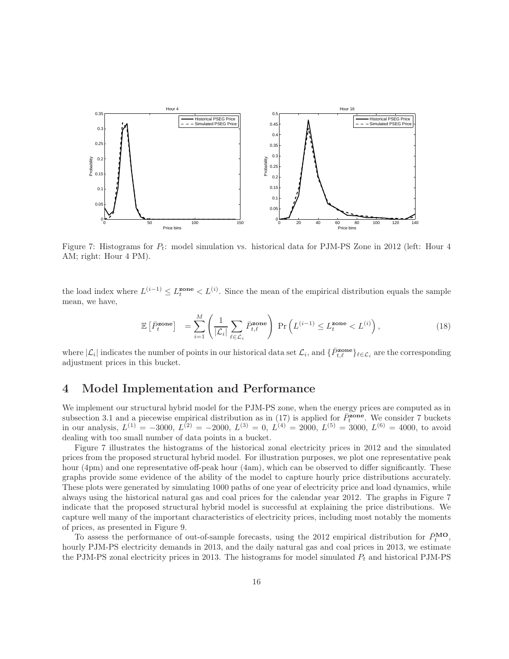

Figure 7: Histograms for  $P_t$ : model simulation vs. historical data for PJM-PS Zone in 2012 (left: Hour 4 AM; right: Hour 4 PM).

the load index where  $L^{(i-1)} \leq L^{zone}_{t} < L^{(i)}$ . Since the mean of the empirical distribution equals the sample mean, we have,

$$
\mathbb{E}\left[\bar{P}_t^{\text{zone}}\right] = \sum_{i=1}^M \left(\frac{1}{|\mathcal{L}_i|} \sum_{\ell \in \mathcal{L}_i} \bar{P}_{t,\ell}^{\text{zone}}\right) \Pr\left(L^{(i-1)} \le L_t^{\text{zone}} < L^{(i)}\right),\tag{18}
$$

where  $|\mathcal{L}_i|$  indicates the number of points in our historical data set  $\mathcal{L}_i$ , and  $\{\bar{P}_{t,\ell}^{\text{zone}}\}_{\ell \in \mathcal{L}_i}$  are the corresponding adjustment prices in this bucket.

# 4 Model Implementation and Performance

We implement our structural hybrid model for the PJM-PS zone, when the energy prices are computed as in subsection 3.1 and a piecewise empirical distribution as in (17) is applied for  $\bar{P}_t^{\text{zone}}$ . We consider 7 buckets in our analysis,  $L^{(1)} = -3000$ ,  $L^{(2)} = -2000$ ,  $L^{(3)} = 0$ ,  $L^{(4)} = 2000$ ,  $L^{(5)} = 3000$ ,  $L^{(6)} = 4000$ , to avoid dealing with too small number of data points in a bucket.

Figure 7 illustrates the histograms of the historical zonal electricity prices in 2012 and the simulated prices from the proposed structural hybrid model. For illustration purposes, we plot one representative peak hour (4pm) and one representative off-peak hour (4am), which can be observed to differ significantly. These graphs provide some evidence of the ability of the model to capture hourly price distributions accurately. These plots were generated by simulating 1000 paths of one year of electricity price and load dynamics, while always using the historical natural gas and coal prices for the calendar year 2012. The graphs in Figure 7 indicate that the proposed structural hybrid model is successful at explaining the price distributions. We capture well many of the important characteristics of electricity prices, including most notably the moments of prices, as presented in Figure 9.

To assess the performance of out-of-sample forecasts, using the 2012 empirical distribution for  $\bar{P}_t^{\text{MO}}$ , hourly PJM-PS electricity demands in 2013, and the daily natural gas and coal prices in 2013, we estimate the PJM-PS zonal electricity prices in 2013. The histograms for model simulated  $P_t$  and historical PJM-PS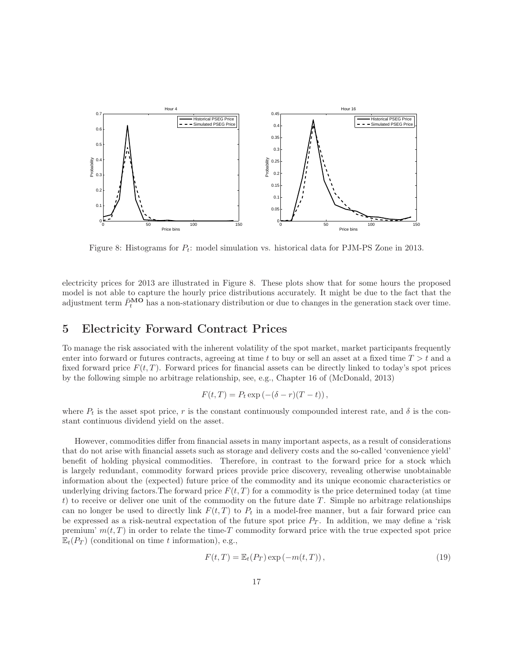

Figure 8: Histograms for Pt: model simulation vs. historical data for PJM-PS Zone in 2013.

electricity prices for 2013 are illustrated in Figure 8. These plots show that for some hours the proposed model is not able to capture the hourly price distributions accurately. It might be due to the fact that the adjustment term  $\bar{P}_t^{\textbf{MO}}$  has a non-stationary distribution or due to changes in the generation stack over time.

#### 5 Electricity Forward Contract Prices

To manage the risk associated with the inherent volatility of the spot market, market participants frequently enter into forward or futures contracts, agreeing at time t to buy or sell an asset at a fixed time  $T > t$  and a fixed forward price  $F(t,T)$ . Forward prices for financial assets can be directly linked to today's spot prices by the following simple no arbitrage relationship, see, e.g., Chapter 16 of (McDonald, 2013)

$$
F(t,T) = P_t \exp(-(\delta - r)(T - t)),
$$

where  $P_t$  is the asset spot price, r is the constant continuously compounded interest rate, and  $\delta$  is the constant continuous dividend yield on the asset.

However, commodities differ from financial assets in many important aspects, as a result of considerations that do not arise with financial assets such as storage and delivery costs and the so-called 'convenience yield' benefit of holding physical commodities. Therefore, in contrast to the forward price for a stock which is largely redundant, commodity forward prices provide price discovery, revealing otherwise unobtainable information about the (expected) future price of the commodity and its unique economic characteristics or underlying driving factors. The forward price  $F(t, T)$  for a commodity is the price determined today (at time t) to receive or deliver one unit of the commodity on the future date  $T$ . Simple no arbitrage relationships can no longer be used to directly link  $F(t, T)$  to  $P_t$  in a model-free manner, but a fair forward price can be expressed as a risk-neutral expectation of the future spot price  $P_T$ . In addition, we may define a 'risk premium'  $m(t, T)$  in order to relate the time-T commodity forward price with the true expected spot price  $\mathbb{E}_t(P_T)$  (conditional on time t information), e.g.,

$$
F(t,T) = \mathbb{E}_t(P_T) \exp(-m(t,T)),
$$
\n(19)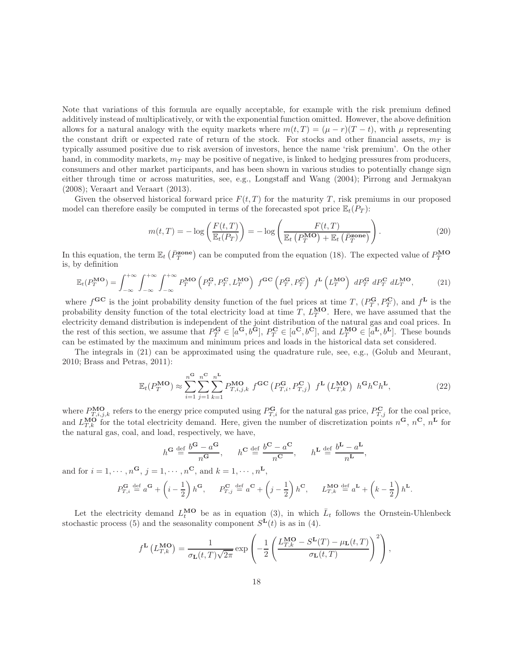Note that variations of this formula are equally acceptable, for example with the risk premium defined additively instead of multiplicatively, or with the exponential function omitted. However, the above definition allows for a natural analogy with the equity markets where  $m(t, T) = (\mu - r)(T - t)$ , with  $\mu$  representing the constant drift or expected rate of return of the stock. For stocks and other financial assets,  $m<sub>T</sub>$  is typically assumed positive due to risk aversion of investors, hence the name 'risk premium'. On the other hand, in commodity markets,  $m<sub>T</sub>$  may be positive of negative, is linked to hedging pressures from producers, consumers and other market participants, and has been shown in various studies to potentially change sign either through time or across maturities, see, e.g., Longstaff and Wang (2004); Pirrong and Jermakyan (2008); Veraart and Veraart (2013).

Given the observed historical forward price  $F(t, T)$  for the maturity T, risk premiums in our proposed model can therefore easily be computed in terms of the forecasted spot price  $\mathbb{E}_t(P_T)$ :

$$
m(t,T) = -\log\left(\frac{F(t,T)}{\mathbb{E}_t(P_T)}\right) = -\log\left(\frac{F(t,T)}{\mathbb{E}_t\left(P_T^{\text{MO}}\right) + \mathbb{E}_t\left(\bar{P}_T^{\text{zone}}\right)}\right). \tag{20}
$$

In this equation, the term  $\mathbb{E}_t\left(\bar{P}_T^{\text{zone}}\right)$  can be computed from the equation (18). The expected value of  $P_T^{\text{MO}}$ is, by definition

$$
\mathbb{E}_t(P_T^{\mathbf{MO}}) = \int_{-\infty}^{+\infty} \int_{-\infty}^{+\infty} \int_{-\infty}^{+\infty} P_T^{\mathbf{MO}} \left(P_T^{\mathbf{G}}, P_T^{\mathbf{C}}, L_T^{\mathbf{MO}}\right) f^{\mathbf{GC}} \left(P_T^{\mathbf{G}}, P_T^{\mathbf{C}}\right) f^{\mathbf{L}} \left(L_T^{\mathbf{MO}}\right) dP_T^{\mathbf{G}} dP_T^{\mathbf{C}} dL_T^{\mathbf{MO}},\tag{21}
$$

where  $f^{\text{GC}}$  is the joint probability density function of the fuel prices at time T,  $(P_T^{\text{G}}, P_T^{\text{C}})$ , and  $f^{\text{L}}$  is the probability density function of the total electricity load at time T,  $L_T^{MO}$ . Here, we have assumed that the probability density function of the total electricity load at time 1;  $L_T$ . Here, we have assumed that the electricity demand distribution is independent of the joint distribution of the natural gas and coal prices. In the rest of this section, we assume that  $P_T^{\mathbf{G}} \in [a^{\mathbf{G}}, b^{\mathbf{G}}], P_T^{\mathbf{C}} \in [a^{\mathbf{C}}, b^{\mathbf{C}}]$ , and  $L_T^{\mathbf{MO}} \in [a^{\mathbf{L}}, b^{\mathbf{L}}]$ . These bounds can be estimated by the maximum and minimum prices and loads in the historical data set considered.

The integrals in (21) can be approximated using the quadrature rule, see, e.g., (Golub and Meurant, 2010; Brass and Petras, 2011):

$$
\mathbb{E}_t(P_T^{\mathbf{MO}}) \approx \sum_{i=1}^n \sum_{j=1}^n \sum_{k=1}^n P_{T,i,j,k}^{\mathbf{MO}} f^{\mathbf{GC}}\left(P_{T,i}^{\mathbf{G}}, P_{T,j}^{\mathbf{C}}\right) f^{\mathbf{L}}\left(L_{T,k}^{\mathbf{MO}}\right) h^{\mathbf{G}} h^{\mathbf{C}} h^{\mathbf{L}},\tag{22}
$$

where  $P_{T,i,j,k}^{\textbf{MO}}$  refers to the energy price computed using  $P_{T,i}^{\textbf{G}}$  for the natural gas price,  $P_{T,j}^{\textbf{C}}$  for the coal price, and  $L_{T,k}^{\text{MO}}$  for the total electricity demand. Here, given the number of discretization points  $n^{\text{C}}$ ,  $n^{\text{C}}$ ,  $n^{\text{L}}$  for the natural gas, coal, and load, respectively, we have,

$$
h^{\mathbf{G}} \stackrel{\text{def}}{=} \frac{b^{\mathbf{G}} - a^{\mathbf{G}}}{n^{\mathbf{G}}}, \qquad h^{\mathbf{C}} \stackrel{\text{def}}{=} \frac{b^{\mathbf{C}} - a^{\mathbf{C}}}{n^{\mathbf{C}}}, \qquad h^{\mathbf{L}} \stackrel{\text{def}}{=} \frac{b^{\mathbf{L}} - a^{\mathbf{L}}}{n^{\mathbf{L}}},
$$

and for  $i = 1, \dots, n^{\mathbf{G}}, j = 1, \dots, n^{\mathbf{C}},$  and  $k = 1, \dots, n^{\mathbf{L}},$ 

$$
P_{T,i}^{\mathbf{G}} \stackrel{\text{def}}{=} a^{\mathbf{G}} + \left(i - \frac{1}{2}\right)h^{\mathbf{G}}, \qquad P_{T,j}^{\mathbf{C}} \stackrel{\text{def}}{=} a^{\mathbf{C}} + \left(j - \frac{1}{2}\right)h^{\mathbf{C}}, \qquad L_{T,k}^{\mathbf{MO}} \stackrel{\text{def}}{=} a^{\mathbf{L}} + \left(k - \frac{1}{2}\right)h^{\mathbf{L}}.
$$

Let the electricity demand  $L_t^{\text{MO}}$  be as in equation (3), in which  $\bar{L}_t$  follows the Ornstein-Uhlenbeck stochastic process (5) and the seasonality component  $S<sup>L</sup>(t)$  is as in (4).

$$
f^{\mathbf{L}}\left(L_{T,k}^{\mathbf{M}\mathbf{O}}\right) = \frac{1}{\sigma_{\mathbf{L}}(t,T)\sqrt{2\pi}} \exp\left(-\frac{1}{2}\left(\frac{L_{T,k}^{\mathbf{M}\mathbf{O}} - S^{\mathbf{L}}(T) - \mu_{\mathbf{L}}(t,T)}{\sigma_{\mathbf{L}}(t,T)}\right)^2\right),
$$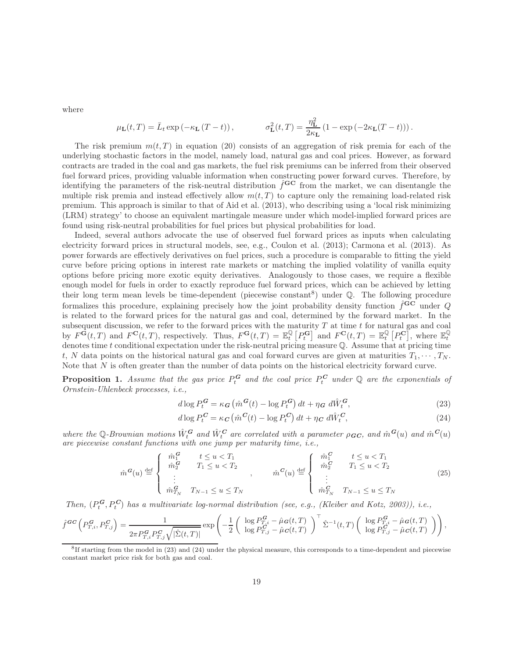where

$$
\mu_{\mathbf{L}}(t,T) = \bar{L}_t \exp\left(-\kappa_{\mathbf{L}}(T-t)\right), \qquad \sigma_{\mathbf{L}}^2(t,T) = \frac{\eta_{\mathbf{L}}^2}{2\kappa_{\mathbf{L}}}(1 - \exp\left(-2\kappa_{\mathbf{L}}(T-t)\right)).
$$

The risk premium  $m(t, T)$  in equation (20) consists of an aggregation of risk premia for each of the underlying stochastic factors in the model, namely load, natural gas and coal prices. However, as forward contracts are traded in the coal and gas markets, the fuel risk premiums can be inferred from their observed fuel forward prices, providing valuable information when constructing power forward curves. Therefore, by identifying the parameters of the risk-neutral distribution  $\hat{f}^{\text{GC}}$  from the market, we can disentangle the multiple risk premia and instead effectively allow  $m(t, T)$  to capture only the remaining load-related risk premium. This approach is similar to that of Aid et al. (2013), who describing using a 'local risk minimizing (LRM) strategy' to choose an equivalent martingale measure under which model-implied forward prices are found using risk-neutral probabilities for fuel prices but physical probabilities for load.

Indeed, several authors advocate the use of observed fuel forward prices as inputs when calculating electricity forward prices in structural models, see, e.g., Coulon et al. (2013); Carmona et al. (2013). As power forwards are effectively derivatives on fuel prices, such a procedure is comparable to fitting the yield curve before pricing options in interest rate markets or matching the implied volatility of vanilla equity options before pricing more exotic equity derivatives. Analogously to those cases, we require a flexible enough model for fuels in order to exactly reproduce fuel forward prices, which can be achieved by letting their long term mean levels be time-dependent (piecewise constant<sup>8</sup>) under Q. The following procedure formalizes this procedure, explaining precisely how the joint probability density function  $\hat{f}^{\mathbf{G}\mathbf{C}}$  under Q is related to the forward prices for the natural gas and coal, determined by the forward market. In the subsequent discussion, we refer to the forward prices with the maturity  $T$  at time  $t$  for natural gas and coal by  $F^{\tilde{G}}(t,T)$  and  $F^{\tilde{G}}(t,T)$ , respectively. Thus,  $F^{\tilde{G}}(t,T) = \mathbb{E}_{t}^{\mathbb{Q}}[P_{t}^{\tilde{G}}]$  and  $F^{\tilde{G}}(t,T) = \mathbb{E}_{t}^{\mathbb{Q}}[P_{t}^{\tilde{G}}]$ , where  $\mathbb{E}_{t}^{\mathbb{Q}}$  denotes time t conditional expectation under t t, N data points on the historical natural gas and coal forward curves are given at maturities  $T_1, \dots, T_N$ . Note that N is often greater than the number of data points on the historical electricity forward curve.

**Proposition 1.** Assume that the gas price  $P_t^{\{G\}}$  and the coal price  $P_t^{\{C\}}$  under  $\mathbb Q$  are the exponentials of *Ornstein-Uhlenbeck processes, i.e.,*

$$
d\log P_t^{\mathbf{G}} = \kappa_{\mathbf{G}} \left( \hat{m}^{\mathbf{G}}(t) - \log P_t^{\mathbf{G}} \right) dt + \eta_{\mathbf{G}} d\hat{W}_t^{\mathbf{G}},\tag{23}
$$

$$
d \log P_t^C = \kappa_C \left( \hat{m}^C(t) - \log P_t^C \right) dt + \eta_C d\hat{W}_t^C, \tag{24}
$$

where the Q-Brownian motions  $\hat{W}_t^G$  and  $\hat{W}_t^C$  are correlated with a parameter  $\rho_{GC}$ , and  $\hat{m}^G(u)$  and  $\hat{m}^C(u)$ *are piecewise constant functions with one jump per maturity time, i.e.,*

$$
\hat{m}^{G}(u) \stackrel{\text{def}}{=} \begin{cases}\n\hat{m}_{1}^{G} & t \leq u < T_{1} \\
\hat{m}_{2}^{G} & T_{1} \leq u < T_{2} \\
\vdots & \vdots \\
\hat{m}_{T_{N}}^{G} & T_{N-1} \leq u \leq T_{N}\n\end{cases}, \qquad \hat{m}^{C}(u) \stackrel{\text{def}}{=} \begin{cases}\n\hat{m}_{1}^{G} & t \leq u < T_{1} \\
\hat{m}_{2}^{G} & T_{1} \leq u < T_{2} \\
\vdots \\
\hat{m}_{T_{N}}^{G} & T_{N-1} \leq u \leq T_{N}\n\end{cases}
$$
\n(25)

*Then,*  $(P_t^G, P_t^C)$  *has a multivariate log-normal distribution (see, e.g., (Kleiber and Kotz, 2003)), i.e.,* 

$$
\hat{f}^{GC}\left(P_{T,i}^G,P_{T,j}^G\right)=\frac{1}{2\pi P_{T,i}^G P_{T,j}^G\sqrt{|\hat{\Sigma}(t,T)|}}\exp\left(-\frac{1}{2}\left(\begin{array}{c}\log P_{T,i}^G-\hat{\mu}_G(t,T)\\ \log P_{T,j}^G-\hat{\mu}_G(t,T)\end{array}\right)^\top\hat{\Sigma}^{-1}(t,T)\left(\begin{array}{c}\log P_{T,i}^G-\hat{\mu}_G(t,T)\\ \log P_{T,j}^G-\hat{\mu}_G(t,T)\end{array}\right)\right),
$$

<sup>&</sup>lt;sup>8</sup>If starting from the model in (23) and (24) under the physical measure, this corresponds to a time-dependent and piecewise constant market price risk for both gas and coal.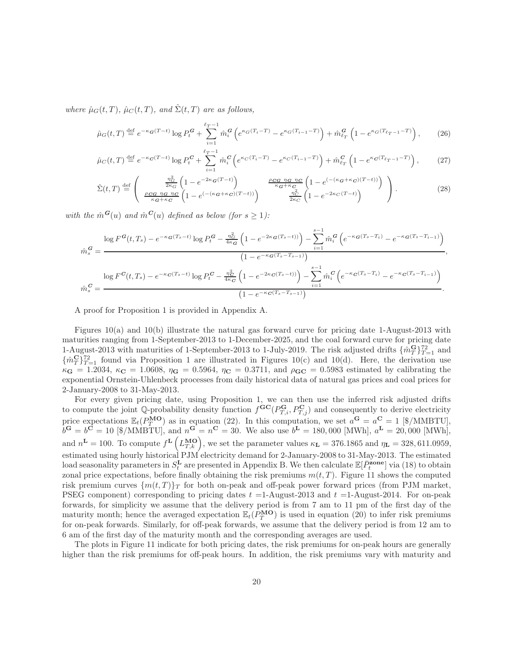*where*  $\hat{\mu}_G(t,T)$ ,  $\hat{\mu}_C(t,T)$ , and  $\hat{\Sigma}(t,T)$  are as follows,

$$
\hat{\mu}_G(t,T) \stackrel{\text{def}}{=} e^{-\kappa_G(T-t)} \log P_t^G + \sum_{i=1}^{\ell_T-1} \hat{m}_i^G \left( e^{\kappa_G(T_i-T)} - e^{\kappa_G(T_{i-1}-T)} \right) + \hat{m}_{\ell_T}^G \left( 1 - e^{\kappa_G(T_{\ell_T-1}-T)} \right),\tag{26}
$$

$$
\hat{\mu}_C(t,T) \stackrel{\text{def}}{=} e^{-\kappa_C (T-t)} \log P_t^C + \sum_{i=1}^{\ell_T - 1} \hat{m}_i^C \left( e^{\kappa_C (T_i - T)} - e^{\kappa_C (T_{i-1} - T)} \right) + \hat{m}_{\ell_T}^C \left( 1 - e^{\kappa_C (T_{\ell_T - 1} - T)} \right),\tag{27}
$$

$$
\hat{\Sigma}(t,T) \stackrel{\text{def}}{=} \begin{pmatrix} \frac{\eta_G^2}{2\kappa_G} \left( 1 - e^{-2\kappa_G(T-t)} \right) & \frac{\rho_{GG} \eta_G \eta_G \eta_G}{\kappa_G + \kappa_G} \left( 1 - e^{(-(\kappa_G + \kappa_G)(T-t))} \right) \\ \frac{\rho_{GG} \eta_G \eta_G \eta_G}{\kappa_G + \kappa_G} \left( 1 - e^{(-(\kappa_G + \kappa_G)(T-t))} \right) & \frac{\eta_G^2}{2\kappa_G} \left( 1 - e^{-2\kappa_G(T-t)} \right) \end{pmatrix} . \tag{28}
$$

with the  $\hat{m}^{\mathbf{G}}(u)$  and  $\hat{m}^{\mathbf{C}}(u)$  defined as below (for  $s \geq 1$ ):

$$
\hat{m}_{s}^{\mathbf{G}} = \frac{\log F^{\mathbf{G}}(t,T_{s}) - e^{-\kappa_{\mathbf{G}}(T_{s}-t)} \log P_{t}^{\mathbf{G}} - \frac{\eta_{G}^{2}}{4\kappa_{\mathbf{G}}}\left(1 - e^{-2\kappa_{\mathbf{G}}(T_{s}-t)}\right) - \sum_{i=1}^{s-1} \hat{m}_{i}^{\mathbf{G}}\left(e^{-\kappa_{\mathbf{G}}(T_{s}-T_{i})} - e^{-\kappa_{\mathbf{G}}(T_{s}-T_{i-1})}\right)}{\left(1 - e^{-\kappa_{\mathbf{G}}(T_{s}-T_{s-1})}\right)},
$$
\n
$$
\hat{m}_{s}^{\mathbf{G}} = \frac{\log F^{\mathbf{G}}(t,T_{s}) - e^{-\kappa_{\mathbf{G}}(T_{s}-t)} \log P_{t}^{\mathbf{G}} - \frac{\eta_{G}^{2}}{4\kappa_{\mathbf{G}}}\left(1 - e^{-2\kappa_{\mathbf{G}}(T_{s}-t)}\right) - \sum_{i=1}^{s-1} \hat{m}_{i}^{\mathbf{G}}\left(e^{-\kappa_{\mathbf{G}}(T_{s}-T_{i})} - e^{-\kappa_{\mathbf{G}}(T_{s}-T_{i-1})}\right)}{\left(1 - e^{-\kappa_{\mathbf{G}}(T_{s}-T_{s-1})}\right)}.
$$

A proof for Proposition 1 is provided in Appendix A.

Figures 10(a) and 10(b) illustrate the natural gas forward curve for pricing date 1-August-2013 with maturities ranging from 1-September-2013 to 1-December-2025, and the coal forward curve for pricing date 1-August-2013 with maturities of 1-September-2013 to 1-July-2019. The risk adjusted drifts  $\{\hat{m}_T^{\mathbf{G}}\}_{T=1}^{72}$  and  $\{\hat{m}_T^{\mathbf{C}}\}_{T=1}^{72}$  found via Proposition 1 are illustrated in Figures 10(c) and 10(d). Here, the derivation use  $\kappa_{\text{G}} = 1.2034$ ,  $\kappa_{\text{C}} = 1.0608$ ,  $\eta_{\text{G}} = 0.5964$ ,  $\eta_{\text{C}} = 0.3711$ , and  $\rho_{\text{GC}} = 0.5983$  estimated by calibrating the exponential Ornstein-Uhlenbeck processes from daily historical data of natural gas prices and coal prices for 2-January-2008 to 31-May-2013.

For every given pricing date, using Proposition 1, we can then use the inferred risk adjusted drifts to compute the joint Q-probability density function  $f^{GC}(P_{T,i}^{\mathbf{G}}, P_{T,j}^{\mathbf{C}})$  and consequently to derive electricity price expectations  $\mathbb{E}_t(P_T^{\textbf{MO}})$  as in equation (22). In this computation, we set  $a^{\textbf{G}} = a^{\textbf{C}} = 1$  [\$/MMBTU],  $b^{\mathbf{G}} = b^{\mathbf{C}} = 10$  [\$/MMBTU], and  $n^{\mathbf{G}} = n^{\mathbf{C}} = 30$ . We also use  $b^{\mathbf{L}} = 180,000$  [MWh],  $a^{\mathbf{L}} = 20,000$  [MWh], and  $n<sup>L</sup> = 100$ . To compute  $f<sup>L</sup>$   $(L_{T,k}^{MO})$ , we set the parameter values  $\kappa_L = 376.1865$  and  $\eta_L = 328,611.0959$ , estimated using hourly historical PJM electricity demand for 2-January-2008 to 31-May-2013. The estimated load seasonality parameters in  $S_t^{\bf L}$  are presented in Appendix B. We then calculate  $\mathbb{E}[\bar{P}_t^{\bf zone}]$  via (18) to obtain zonal price expectations, before finally obtaining the risk premiums  $m(t, T)$ . Figure 11 shows the computed risk premium curves  $\{m(t, T)\}\tau$  for both on-peak and off-peak power forward prices (from PJM market, PSEG component) corresponding to pricing dates  $t =1$ -August-2013 and  $t =1$ -August-2014. For on-peak forwards, for simplicity we assume that the delivery period is from 7 am to 11 pm of the first day of the maturity month; hence the averaged expectation  $\mathbb{E}_t(P_T^{\textbf{MO}})$  is used in equation (20) to infer risk premiums for on-peak forwards. Similarly, for off-peak forwards, we assume that the delivery period is from 12 am to 6 am of the first day of the maturity month and the corresponding averages are used.

The plots in Figure 11 indicate for both pricing dates, the risk premiums for on-peak hours are generally higher than the risk premiums for off-peak hours. In addition, the risk premiums vary with maturity and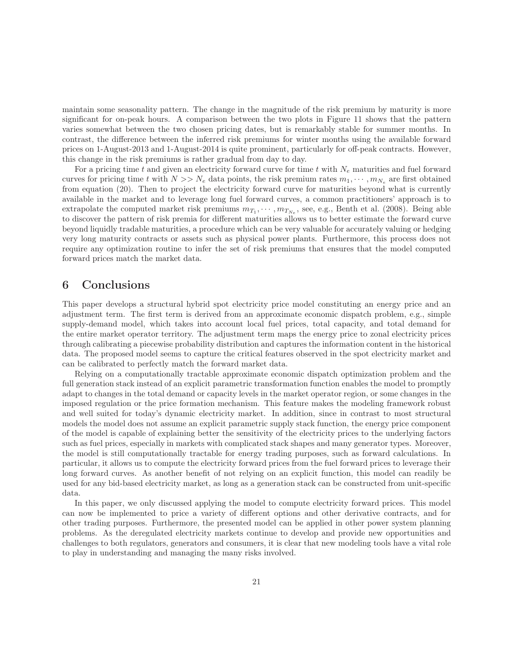maintain some seasonality pattern. The change in the magnitude of the risk premium by maturity is more significant for on-peak hours. A comparison between the two plots in Figure 11 shows that the pattern varies somewhat between the two chosen pricing dates, but is remarkably stable for summer months. In contrast, the difference between the inferred risk premiums for winter months using the available forward prices on 1-August-2013 and 1-August-2014 is quite prominent, particularly for off-peak contracts. However, this change in the risk premiums is rather gradual from day to day.

For a pricing time t and given an electricity forward curve for time t with  $N_e$  maturities and fuel forward curves for pricing time t with  $N >> N_e$  data points, the risk premium rates  $m_1, \dots, m_{N_e}$  are first obtained from equation (20). Then to project the electricity forward curve for maturities beyond what is currently available in the market and to leverage long fuel forward curves, a common practitioners' approach is to extrapolate the computed market risk premiums  $m_{T_1}, \cdots, m_{T_{N_e}}$ , see, e.g., Benth et al. (2008). Being able to discover the pattern of risk premia for different maturities allows us to better estimate the forward curve beyond liquidly tradable maturities, a procedure which can be very valuable for accurately valuing or hedging very long maturity contracts or assets such as physical power plants. Furthermore, this process does not require any optimization routine to infer the set of risk premiums that ensures that the model computed forward prices match the market data.

## 6 Conclusions

This paper develops a structural hybrid spot electricity price model constituting an energy price and an adjustment term. The first term is derived from an approximate economic dispatch problem, e.g., simple supply-demand model, which takes into account local fuel prices, total capacity, and total demand for the entire market operator territory. The adjustment term maps the energy price to zonal electricity prices through calibrating a piecewise probability distribution and captures the information content in the historical data. The proposed model seems to capture the critical features observed in the spot electricity market and can be calibrated to perfectly match the forward market data.

Relying on a computationally tractable approximate economic dispatch optimization problem and the full generation stack instead of an explicit parametric transformation function enables the model to promptly adapt to changes in the total demand or capacity levels in the market operator region, or some changes in the imposed regulation or the price formation mechanism. This feature makes the modeling framework robust and well suited for today's dynamic electricity market. In addition, since in contrast to most structural models the model does not assume an explicit parametric supply stack function, the energy price component of the model is capable of explaining better the sensitivity of the electricity prices to the underlying factors such as fuel prices, especially in markets with complicated stack shapes and many generator types. Moreover, the model is still computationally tractable for energy trading purposes, such as forward calculations. In particular, it allows us to compute the electricity forward prices from the fuel forward prices to leverage their long forward curves. As another benefit of not relying on an explicit function, this model can readily be used for any bid-based electricity market, as long as a generation stack can be constructed from unit-specific data.

In this paper, we only discussed applying the model to compute electricity forward prices. This model can now be implemented to price a variety of different options and other derivative contracts, and for other trading purposes. Furthermore, the presented model can be applied in other power system planning problems. As the deregulated electricity markets continue to develop and provide new opportunities and challenges to both regulators, generators and consumers, it is clear that new modeling tools have a vital role to play in understanding and managing the many risks involved.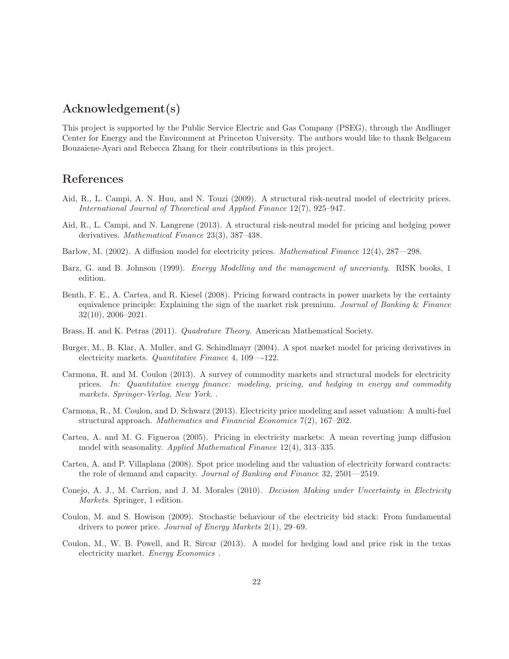# Acknowledgement(s)

This project is supported by the Public Service Electric and Gas Company (PSEG), through the Andlinger Center for Energy and the Environment at Princeton University. The authors would like to thank Belgacem Bouzaiene-Ayari and Rebecca Zhang for their contributions in this project.

# References

- Aid, R., L. Campi, A. N. Huu, and N. Touzi (2009). A structural risk-neutral model of electricity prices. *International Journal of Theoretical and Applied Finance* 12(7), 925–947.
- Aid, R., L. Campi, and N. Langrene (2013). A structural risk-neutral model for pricing and hedging power derivatives. *Mathematical Finance* 23(3), 387–438.
- Barlow, M. (2002). A diffusion model for electricity prices. *Mathematical Finance* 12(4), 287––298.
- Barz, G. and B. Johnson (1999). *Energy Modelling and the management of uncerianty*. RISK books, 1 edition.
- Benth, F. E., A. Cartea, and R. Kiesel (2008). Pricing forward contracts in power markets by the certainty equivalence principle: Explaining the sign of the market risk premium. *Journal of Banking* & *Finance* 32(10), 2006–2021.
- Brass, H. and K. Petras (2011). *Quadrature Theory*. American Mathematical Society.
- Burger, M., B. Klar, A. Muller, and G. Schindlmayr (2004). A spot market model for pricing derivatives in electricity markets. *Quantitative Finance* 4, 109—-122.
- Carmona, R. and M. Coulon (2013). A survey of commodity markets and structural models for electricity prices. *In: Quantitative energy finance: modeling, pricing, and hedging in energy and commodity markets. Springer-Verlag, New York.* .
- Carmona, R., M. Coulon, and D. Schwarz (2013). Electricity price modeling and asset valuation: A multi-fuel structural approach. *Mathematics and Financial Economics* 7(2), 167–202.
- Cartea, A. and M. G. Figueroa (2005). Pricing in electricity markets: A mean reverting jump diffusion model with seasonality. *Applied Mathematical Finance* 12(4), 313–335.
- Cartea, A. and P. Villaplana (2008). Spot price modeling and the valuation of electricity forward contracts: the role of demand and capacity. *Journal of Banking and Finance* 32, 2501––2519.
- Conejo, A. J., M. Carrion, and J. M. Morales (2010). *Decision Making under Uncertainty in Electricity Markets*. Springer, 1 edition.
- Coulon, M. and S. Howison (2009). Stochastic behaviour of the electricity bid stack: From fundamental drivers to power price. *Journal of Energy Markets* 2(1), 29–69.
- Coulon, M., W. B. Powell, and R. Sircar (2013). A model for hedging load and price risk in the texas electricity market. *Energy Economics* .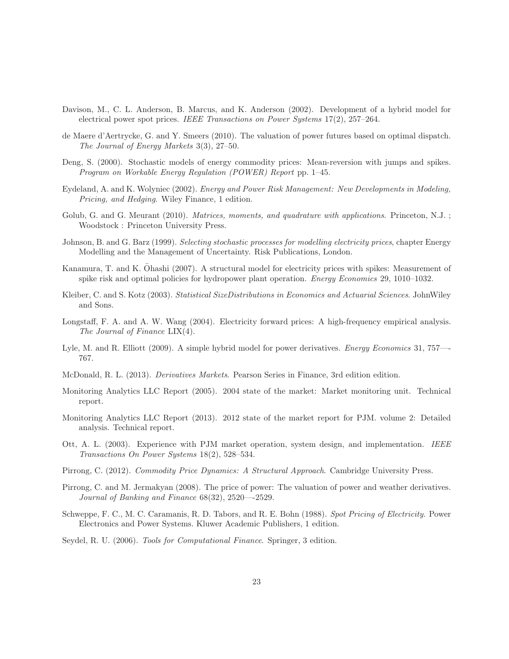- Davison, M., C. L. Anderson, B. Marcus, and K. Anderson (2002). Development of a hybrid model for electrical power spot prices. *IEEE Transactions on Power Systems* 17(2), 257–264.
- de Maere d'Aertrycke, G. and Y. Smeers (2010). The valuation of power futures based on optimal dispatch. *The Journal of Energy Markets* 3(3), 27–50.
- Deng, S. (2000). Stochastic models of energy commodity prices: Mean-reversion with jumps and spikes. *Program on Workable Energy Regulation (POWER) Report* pp. 1–45.
- Eydeland, A. and K. Wolyniec (2002). *Energy and Power Risk Management: New Developments in Modeling, Pricing, and Hedging*. Wiley Finance, 1 edition.
- Golub, G. and G. Meurant (2010). *Matrices, moments, and quadrature with applications*. Princeton, N.J. ; Woodstock : Princeton University Press.
- Johnson, B. and G. Barz (1999). *Selecting stochastic processes for modelling electricity prices*, chapter Energy Modelling and the Management of Uncertainty. Risk Publications, London.
- Kanamura, T. and K. Ohashi (2007). A structural model for electricity prices with spikes: Measurement of spike risk and optimal policies for hydropower plant operation. *Energy Economics* 29, 1010–1032.
- Kleiber, C. and S. Kotz (2003). *Statistical SizeDistributions in Economics and Actuarial Sciences*. JohnWiley and Sons.
- Longstaff, F. A. and A. W. Wang (2004). Electricity forward prices: A high-frequency empirical analysis. *The Journal of Finance* LIX(4).
- Lyle, M. and R. Elliott (2009). A simple hybrid model for power derivatives. *Energy Economics* 31, 757—- 767.
- McDonald, R. L. (2013). *Derivatives Markets*. Pearson Series in Finance, 3rd edition edition.
- Monitoring Analytics LLC Report (2005). 2004 state of the market: Market monitoring unit. Technical report.
- Monitoring Analytics LLC Report (2013). 2012 state of the market report for PJM. volume 2: Detailed analysis. Technical report.
- Ott, A. L. (2003). Experience with PJM market operation, system design, and implementation. *IEEE Transactions On Power Systems* 18(2), 528–534.
- Pirrong, C. (2012). *Commodity Price Dynamics: A Structural Approach*. Cambridge University Press.
- Pirrong, C. and M. Jermakyan (2008). The price of power: The valuation of power and weather derivatives. *Journal of Banking and Finance* 68(32), 2520—-2529.
- Schweppe, F. C., M. C. Caramanis, R. D. Tabors, and R. E. Bohn (1988). *Spot Pricing of Electricity*. Power Electronics and Power Systems. Kluwer Academic Publishers, 1 edition.
- Seydel, R. U. (2006). *Tools for Computational Finance*. Springer, 3 edition.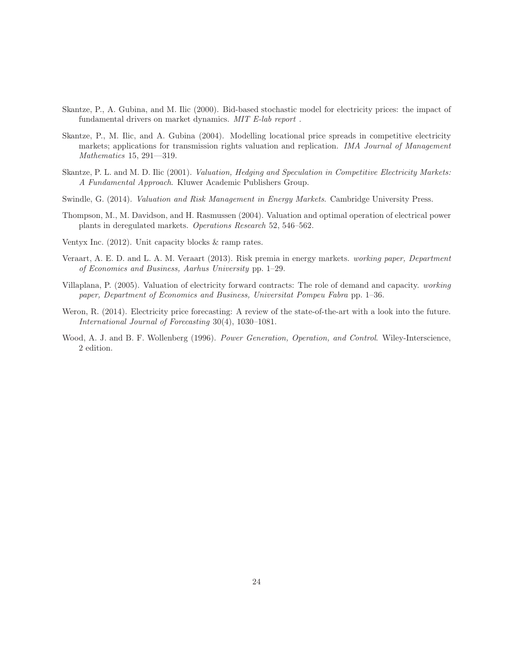- Skantze, P., A. Gubina, and M. Ilic (2000). Bid-based stochastic model for electricity prices: the impact of fundamental drivers on market dynamics. *MIT E-lab report* .
- Skantze, P., M. Ilic, and A. Gubina (2004). Modelling locational price spreads in competitive electricity markets; applications for transmission rights valuation and replication. *IMA Journal of Management Mathematics* 15, 291––319.
- Skantze, P. L. and M. D. Ilic (2001). *Valuation, Hedging and Speculation in Competitive Electricity Markets: A Fundamental Approach*. Kluwer Academic Publishers Group.
- Swindle, G. (2014). *Valuation and Risk Management in Energy Markets*. Cambridge University Press.
- Thompson, M., M. Davidson, and H. Rasmussen (2004). Valuation and optimal operation of electrical power plants in deregulated markets. *Operations Research* 52, 546–562.
- Ventyx Inc. (2012). Unit capacity blocks & ramp rates.
- Veraart, A. E. D. and L. A. M. Veraart (2013). Risk premia in energy markets. *working paper, Department of Economics and Business, Aarhus University* pp. 1–29.
- Villaplana, P. (2005). Valuation of electricity forward contracts: The role of demand and capacity. *working paper, Department of Economics and Business, Universitat Pompeu Fabra* pp. 1–36.
- Weron, R. (2014). Electricity price forecasting: A review of the state-of-the-art with a look into the future. *International Journal of Forecasting* 30(4), 1030–1081.
- Wood, A. J. and B. F. Wollenberg (1996). *Power Generation, Operation, and Control.* Wiley-Interscience, 2 edition.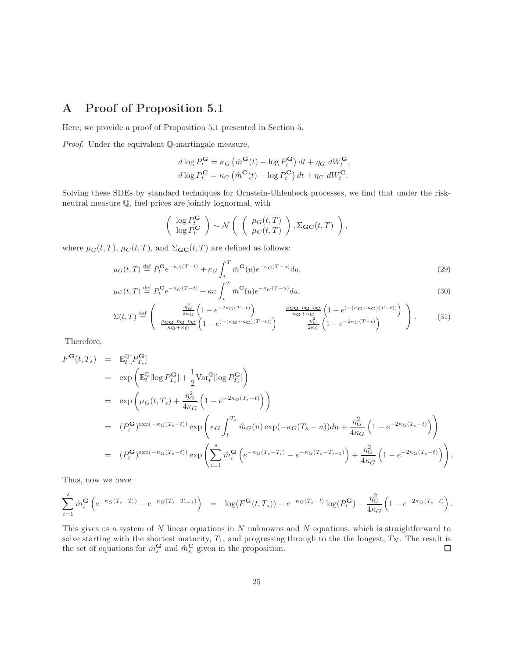# A Proof of Proposition 5.1

Here, we provide a proof of Proposition 5.1 presented in Section 5.

*Proof.* Under the equivalent Q-martingale measure,

$$
d \log P_t^{\mathbf{G}} = \kappa_G \left( \hat{m}^{\mathbf{G}}(t) - \log P_t^{\mathbf{G}} \right) dt + \eta_G dW_t^{\mathbf{G}},
$$
  

$$
d \log P_t^{\mathbf{C}} = \kappa_C \left( \hat{m}^{\mathbf{C}}(t) - \log P_t^{\mathbf{C}} \right) dt + \eta_C dW_t^{\mathbf{C}}.
$$

Solving these SDEs by standard techniques for Ornstein-Uhlenbeck processes, we find that under the riskneutral measure Q, fuel prices are jointly lognormal, with

$$
\begin{pmatrix} \log P_t^{\mathbf{G}} \\ \log P_t^{\mathbf{C}} \end{pmatrix} \sim \mathcal{N} \begin{pmatrix} \mu_G(t,T) \\ \mu_C(t,T) \end{pmatrix}, \Sigma_{\mathbf{G}\mathbf{C}}(t,T) \end{pmatrix},
$$

where  $\mu_G(t,T)$ ,  $\mu_C(t,T)$ , and  $\Sigma_{\mathbf{GC}}(t,T)$  are defined as follows:

$$
\mu_G(t,T) \stackrel{\text{def}}{=} P_t^{\mathbf{G}} e^{-\kappa_G(T-t)} + \kappa_G \int_t^T \bar{m}^{\mathbf{G}}(u) e^{-\kappa_G(T-u)} du,\tag{29}
$$

$$
\mu_C(t,T) \stackrel{\text{def}}{=} P_t^{\mathbf{C}} e^{-\kappa_C (T-t)} + \kappa_C \int_t^T \bar{m}^{\mathbf{C}}(u) e^{-\kappa_C (T-u)} du,\tag{30}
$$

$$
\Sigma(t,T) \stackrel{\text{def}}{=} \left( \frac{\frac{\eta_G^2}{2\kappa_G} \left(1 - e^{-2\kappa_G(T-t)}\right)}{\frac{\rho_{\text{CG}} \eta_{\text{G}} \eta_{\text{C}}}{\kappa_{\text{G}} + \kappa_{\text{C}}}} \frac{\rho_{\text{CG}} \eta_{\text{G}} \eta_{\text{C}}}{\left(1 - e^{(-\kappa_{\text{G}} + \kappa_{\text{C}})(T-t))}\right)} \frac{\rho_{\text{CG}} \eta_{\text{G}} \eta_{\text{C}}}{\frac{\eta_G^2}{2\kappa_C} \left(1 - e^{-2\kappa_G(T-t)}\right)} \right). \tag{31}
$$

Therefore,

$$
F^{\mathbf{G}}(t,T_s) = \mathbb{E}_{t}^{\mathbb{Q}}[P_{T_s}^{\mathbf{G}}]
$$
  
\n
$$
= \exp\left(\mathbb{E}_{t}^{\mathbb{Q}}[\log P_{T_s}^{\mathbf{G}}] + \frac{1}{2} \text{Var}_{t}^{\mathbb{Q}}[\log P_{T_s}^{\mathbf{G}}]\right)
$$
  
\n
$$
= \exp\left(\mu_G(t,T_s) + \frac{\eta_G^2}{4\kappa_G} \left(1 - e^{-2\kappa_G(T_s - t)}\right)\right)
$$
  
\n
$$
= (P_t^{\mathbf{G}})^{\exp(-\kappa_G(T_s - t))} \exp\left(\kappa_G \int_{t}^{T_s} \hat{m}_G(u) \exp(-\kappa_G(T_s - u)) du + \frac{\eta_G^2}{4\kappa_G} \left(1 - e^{-2\kappa_G(T_s - t)}\right)\right)
$$
  
\n
$$
= (P_t^{\mathbf{G}})^{\exp(-\kappa_G(T_s - t))} \exp\left(\sum_{i=1}^s \hat{m}_i^{\mathbf{G}} \left(e^{-\kappa_G(T_s - T_i)} - e^{-\kappa_G(T_s - T_{i-1})}\right) + \frac{\eta_G^2}{4\kappa_G} \left(1 - e^{-2\kappa_G(T_s - t)}\right)\right).
$$

Thus, now we have

$$
\sum_{i=1}^{s} \hat{m}_{i}^{G} \left( e^{-\kappa_{G}(T_{s}-T_{i})} - e^{-\kappa_{G}(T_{s}-T_{i-1})} \right) = \log(F^{G}(t,T_{s})) - e^{-\kappa_{G}(T_{s}-t)} \log(P_{t}^{G}) - \frac{\eta_{G}^{2}}{4\kappa_{G}} \left( 1 - e^{-2\kappa_{G}(T_{s}-t)} \right).
$$

This gives us a system of  $N$  linear equations in  $N$  unknowns and  $N$  equations, which is straightforward to solve starting with the shortest maturity,  $T_1$ , and progressing through to the the longest,  $T_N$ . The result is the set of equations for  $\hat{m}_s^{\mathbf{G}}$  and  $\hat{m}_s^{\mathbf{C}}$  given in the proposition.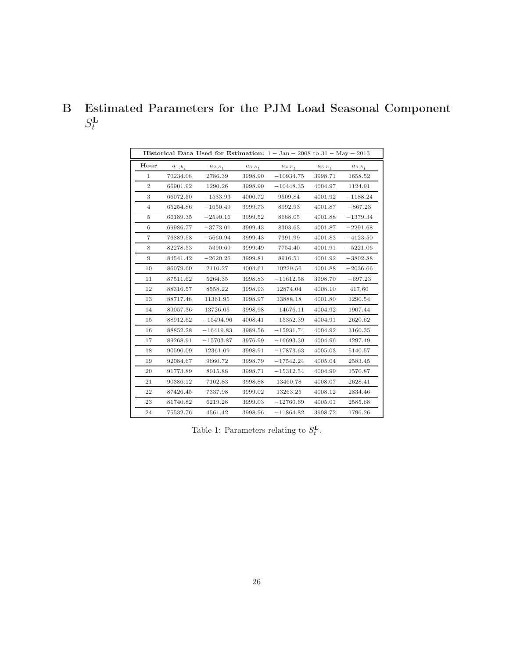B Estimated Parameters for the PJM Load Seasonal Component  $S^{\mathbf{L}}_{\tau}$ t

| <b>Historical Data Used for Estimation:</b> $1 - Jan - 2008$ to $31 - May - 2013$ |             |             |             |                 |             |               |
|-----------------------------------------------------------------------------------|-------------|-------------|-------------|-----------------|-------------|---------------|
| Hour                                                                              | $a_{1,h_t}$ | $a_{2,h_t}$ | $a_{3,h_t}$ | $a_{4,h_{\pm}}$ | $a_{5,h_t}$ | $a_{6,h_{t}}$ |
| $\mathbf{1}$                                                                      | 70234.08    | 2786.39     | 3998.90     | $-10934.75$     | 3998.71     | 1658.52       |
| $\overline{2}$                                                                    | 66901.92    | 1290.26     | 3998.90     | $-10448.35$     | 4004.97     | 1124.91       |
| 3                                                                                 | 66072.50    | $-1533.93$  | 4000.72     | 9509.84         | 4001.92     | $-1188.24$    |
| $\overline{4}$                                                                    | 65254.86    | $-1650.49$  | 3999.73     | 8992.93         | 4001.87     | $-867.23$     |
| $\overline{5}$                                                                    | 66189.35    | $-2590.16$  | 3999.52     | 8688.05         | 4001.88     | $-1379.34$    |
| 6                                                                                 | 69986.77    | $-3773.01$  | 3999.43     | 8303.63         | 4001.87     | $-2291.68$    |
| $\overline{7}$                                                                    | 76889.58    | $-5660.94$  | 3999.43     | 7391.99         | 4001.83     | $-4123.50$    |
| 8                                                                                 | 82278.53    | $-5390.69$  | 3999.49     | 7754.40         | 4001.91     | $-5221.06$    |
| 9                                                                                 | 84541.42    | $-2620.26$  | 3999.81     | 8916.51         | 4001.92     | $-3802.88$    |
| 10                                                                                | 86079.60    | 2110.27     | 4004.61     | 10229.56        | 4001.88     | $-2036.66$    |
| 11                                                                                | 87511.62    | 5264.35     | 3998.83     | $-11612.58$     | 3998.70     | $-697.23$     |
| 12                                                                                | 88316.57    | 8558.22     | 3998.93     | 12874.04        | 4008.10     | 417.60        |
| 13                                                                                | 88717.48    | 11361.95    | 3998.97     | 13888.18        | 4001.80     | 1290.54       |
| 14                                                                                | 89057.36    | 13726.05    | 3998.98     | $-14676.11$     | 4004.92     | 1907.44       |
| 15                                                                                | 88912.62    | $-15494.96$ | 4008.41     | $-15352.39$     | 4004.91     | 2620.62       |
| 16                                                                                | 88852.28    | $-16419.83$ | 3989.56     | $-15931.74$     | 4004.92     | 3160.35       |
| 17                                                                                | 89268.91    | $-15703.87$ | 3976.99     | $-16693.30$     | 4004.96     | 4297.49       |
| 18                                                                                | 90590.09    | 12361.09    | 3998.91     | $-17873.63$     | 4005.03     | 5140.57       |
| 19                                                                                | 92084.67    | 9660.72     | 3998.79     | $-17542.24$     | 4005.04     | 2583.45       |
| 20                                                                                | 91773.89    | 8015.88     | 3998.71     | $-15312.54$     | 4004.99     | 1570.87       |
| 21                                                                                | 90386.12    | 7102.83     | 3998.88     | 13460.78        | 4008.07     | 2628.41       |
| 22                                                                                | 87426.45    | 7337.98     | 3999.02     | 13263.25        | 4008.12     | 2834.46       |
| 23                                                                                | 81740.82    | 6219.28     | 3999.03     | $-12760.69$     | 4005.01     | 2585.68       |
| 24                                                                                | 75532.76    | 4561.42     | 3998.96     | $-11864.82$     | 3998.72     | 1796.26       |

Table 1: Parameters relating to  $S_t^{\mathbf{L}}$ .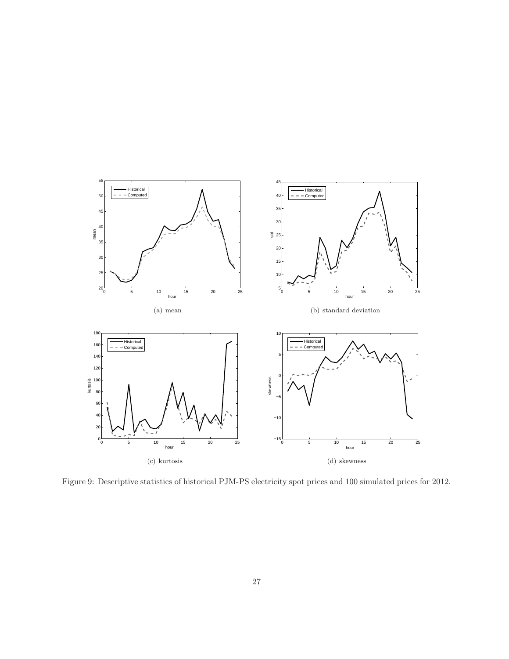

Figure 9: Descriptive statistics of historical PJM-PS electricity spot prices and 100 simulated prices for 2012.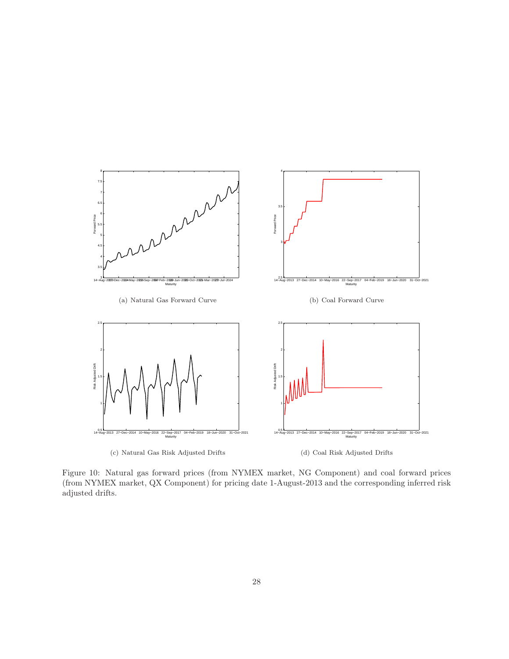

(c) Natural Gas Risk Adjusted Drifts

(d) Coal Risk Adjusted Drifts

Figure 10: Natural gas forward prices (from NYMEX market, NG Component) and coal forward prices (from NYMEX market, QX Component) for pricing date 1-August-2013 and the corresponding inferred risk adjusted drifts.